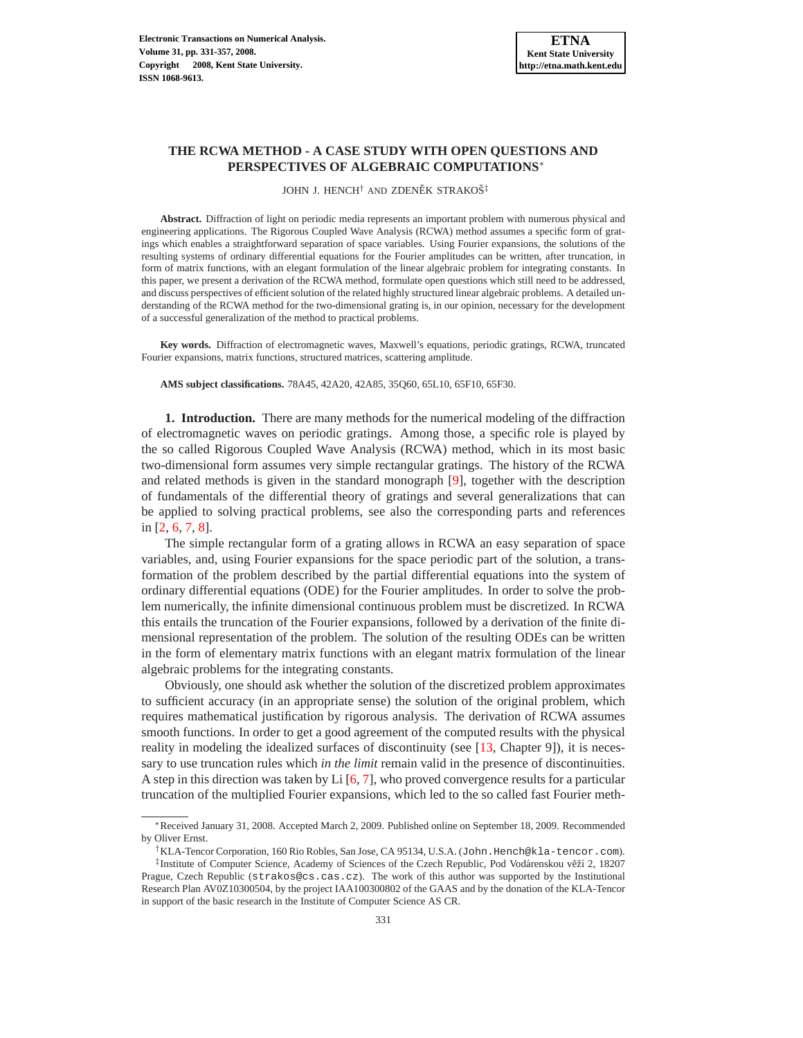# **THE RCWA METHOD - A CASE STUDY WITH OPEN QUESTIONS AND PERSPECTIVES OF ALGEBRAIC COMPUTATIONS**∗

JOHN J. HENCH<sup>†</sup> AND ZDENĚK STRAKOŠ<sup>‡</sup>

**Abstract.** Diffraction of light on periodic media represents an important problem with numerous physical and engineering applications. The Rigorous Coupled Wave Analysis (RCWA) method assumes a specific form of gratings which enables a straightforward separation of space variables. Using Fourier expansions, the solutions of the resulting systems of ordinary differential equations for the Fourier amplitudes can be written, after truncation, in form of matrix functions, with an elegant formulation of the linear algebraic problem for integrating constants. In this paper, we present a derivation of the RCWA method, formulate open questions which still need to be addressed, and discuss perspectives of efficient solution of the related highly structured linear algebraic problems. A detailed understanding of the RCWA method for the two-dimensional grating is, in our opinion, necessary for the development of a successful generalization of the method to practical problems.

**Key words.** Diffraction of electromagnetic waves, Maxwell's equations, periodic gratings, RCWA, truncated Fourier expansions, matrix functions, structured matrices, scattering amplitude.

**AMS subject classifications.** 78A45, 42A20, 42A85, 35Q60, 65L10, 65F10, 65F30.

**1. Introduction.** There are many methods for the numerical modeling of the diffraction of electromagnetic waves on periodic gratings. Among those, a specific role is played by the so called Rigorous Coupled Wave Analysis (RCWA) method, which in its most basic two-dimensional form assumes very simple rectangular gratings. The history of the RCWA and related methods is given in the standard monograph [\[9\]](#page-26-0), together with the description of fundamentals of the differential theory of gratings and several generalizations that can be applied to solving practical problems, see also the corresponding parts and references in [\[2,](#page-26-1) [6,](#page-26-2) [7,](#page-26-3) [8\]](#page-26-4).

The simple rectangular form of a grating allows in RCWA an easy separation of space variables, and, using Fourier expansions for the space periodic part of the solution, a transformation of the problem described by the partial differential equations into the system of ordinary differential equations (ODE) for the Fourier amplitudes. In order to solve the problem numerically, the infinite dimensional continuous problem must be discretized. In RCWA this entails the truncation of the Fourier expansions, followed by a derivation of the finite dimensional representation of the problem. The solution of the resulting ODEs can be written in the form of elementary matrix functions with an elegant matrix formulation of the linear algebraic problems for the integrating constants.

Obviously, one should ask whether the solution of the discretized problem approximates to sufficient accuracy (in an appropriate sense) the solution of the original problem, which requires mathematical justification by rigorous analysis. The derivation of RCWA assumes smooth functions. In order to get a good agreement of the computed results with the physical reality in modeling the idealized surfaces of discontinuity (see [\[13,](#page-26-5) Chapter 9]), it is necessary to use truncation rules which *in the limit* remain valid in the presence of discontinuities. A step in this direction was taken by Li [\[6,](#page-26-2) [7\]](#page-26-3), who proved convergence results for a particular truncation of the multiplied Fourier expansions, which led to the so called fast Fourier meth-

<sup>∗</sup>Received January 31, 2008. Accepted March 2, 2009. Published online on September 18, 2009. Recommended by Oliver Ernst.

<sup>†</sup>KLA-Tencor Corporation, 160 Rio Robles, San Jose, CA 95134, U.S.A. (John.Hench@kla-tencor.com). ‡Institute of Computer Science, Academy of Sciences of the Czech Republic, Pod Vodárenskou věží 2, 18207 Prague, Czech Republic (strakos@cs.cas.cz). The work of this author was supported by the Institutional Research Plan AV0Z10300504, by the project IAA100300802 of the GAAS and by the donation of the KLA-Tencor in support of the basic research in the Institute of Computer Science AS CR.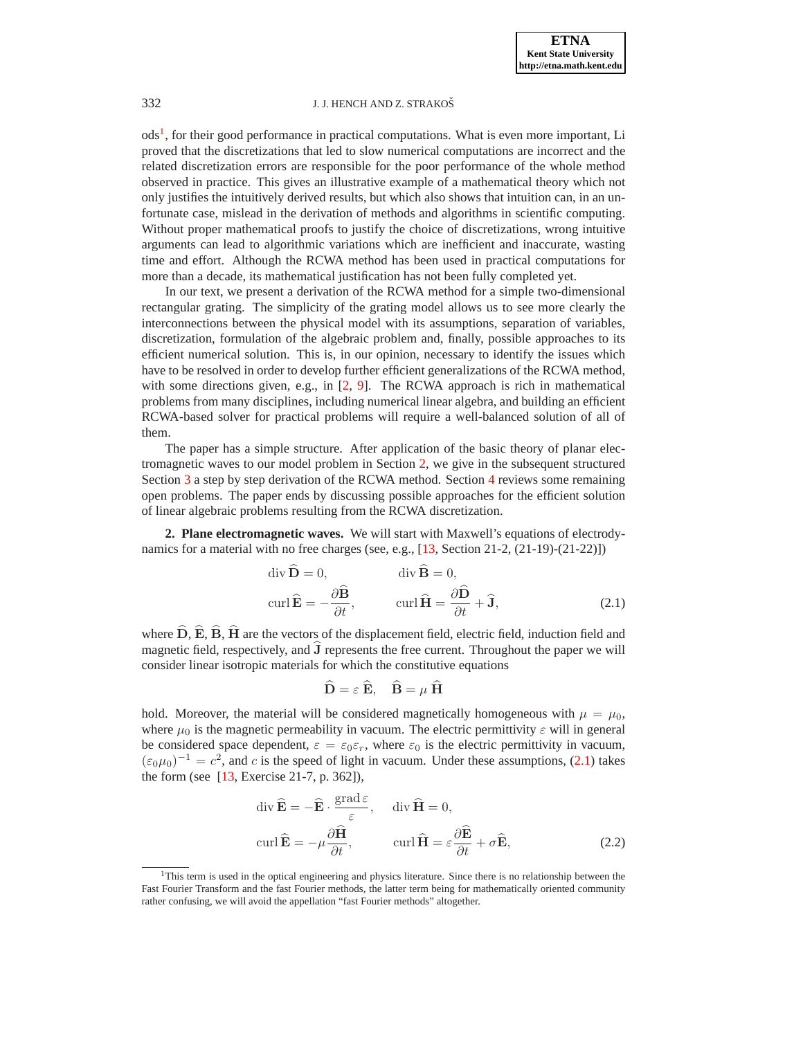ods<sup>[1](#page-1-0)</sup>, for their good performance in practical computations. What is even more important, Li proved that the discretizations that led to slow numerical computations are incorrect and the related discretization errors are responsible for the poor performance of the whole method observed in practice. This gives an illustrative example of a mathematical theory which not only justifies the intuitively derived results, but which also shows that intuition can, in an unfortunate case, mislead in the derivation of methods and algorithms in scientific computing. Without proper mathematical proofs to justify the choice of discretizations, wrong intuitive arguments can lead to algorithmic variations which are inefficient and inaccurate, wasting time and effort. Although the RCWA method has been used in practical computations for more than a decade, its mathematical justification has not been fully completed yet.

In our text, we present a derivation of the RCWA method for a simple two-dimensional rectangular grating. The simplicity of the grating model allows us to see more clearly the interconnections between the physical model with its assumptions, separation of variables, discretization, formulation of the algebraic problem and, finally, possible approaches to its efficient numerical solution. This is, in our opinion, necessary to identify the issues which have to be resolved in order to develop further efficient generalizations of the RCWA method, with some directions given, e.g., in [\[2,](#page-26-1) [9\]](#page-26-0). The RCWA approach is rich in mathematical problems from many disciplines, including numerical linear algebra, and building an efficient RCWA-based solver for practical problems will require a well-balanced solution of all of them.

The paper has a simple structure. After application of the basic theory of planar electromagnetic waves to our model problem in Section [2,](#page-1-1) we give in the subsequent structured Section [3](#page-5-0) a step by step derivation of the RCWA method. Section [4](#page-24-0) reviews some remaining open problems. The paper ends by discussing possible approaches for the efficient solution of linear algebraic problems resulting from the RCWA discretization.

<span id="page-1-2"></span><span id="page-1-1"></span>**2. Plane electromagnetic waves.** We will start with Maxwell's equations of electrodynamics for a material with no free charges (see, e.g.,  $[13, Section 21-2, (21-19)-(21-22)]$ )

$$
\operatorname{div} \widehat{\mathbf{D}} = 0, \qquad \qquad \operatorname{div} \widehat{\mathbf{B}} = 0, \n\operatorname{curl} \widehat{\mathbf{E}} = -\frac{\partial \widehat{\mathbf{B}}}{\partial t}, \qquad \qquad \operatorname{curl} \widehat{\mathbf{H}} = \frac{\partial \widehat{\mathbf{D}}}{\partial t} + \widehat{\mathbf{J}},
$$
\n(2.1)

where  $\hat{\mathbf{D}}, \hat{\mathbf{E}}, \hat{\mathbf{B}}, \hat{\mathbf{H}}$  are the vectors of the displacement field, electric field, induction field and magnetic field, respectively, and  $\overline{J}$  represents the free current. Throughout the paper we will consider linear isotropic materials for which the constitutive equations

$$
\widehat{\mathbf{D}} = \varepsilon \, \widehat{\mathbf{E}}, \quad \widehat{\mathbf{B}} = \mu \, \widehat{\mathbf{H}}
$$

hold. Moreover, the material will be considered magnetically homogeneous with  $\mu = \mu_0$ , where  $\mu_0$  is the magnetic permeability in vacuum. The electric permittivity  $\varepsilon$  will in general be considered space dependent,  $\varepsilon = \varepsilon_0 \varepsilon_r$ , where  $\varepsilon_0$  is the electric permittivity in vacuum,  $(\epsilon_0\mu_0)^{-1} = c^2$ , and c is the speed of light in vacuum. Under these assumptions, [\(2.1\)](#page-1-2) takes the form (see [\[13,](#page-26-5) Exercise 21-7, p. 362]),

$$
\operatorname{div} \widehat{\mathbf{E}} = -\widehat{\mathbf{E}} \cdot \frac{\operatorname{grad} \varepsilon}{\varepsilon}, \quad \operatorname{div} \widehat{\mathbf{H}} = 0,
$$
  
\n
$$
\operatorname{curl} \widehat{\mathbf{E}} = -\mu \frac{\partial \widehat{\mathbf{H}}}{\partial t}, \qquad \operatorname{curl} \widehat{\mathbf{H}} = \varepsilon \frac{\partial \widehat{\mathbf{E}}}{\partial t} + \sigma \widehat{\mathbf{E}}, \tag{2.2}
$$

<span id="page-1-3"></span><span id="page-1-0"></span><sup>1</sup>This term is used in the optical engineering and physics literature. Since there is no relationship between the Fast Fourier Transform and the fast Fourier methods, the latter term being for mathematically oriented community rather confusing, we will avoid the appellation "fast Fourier methods" altogether.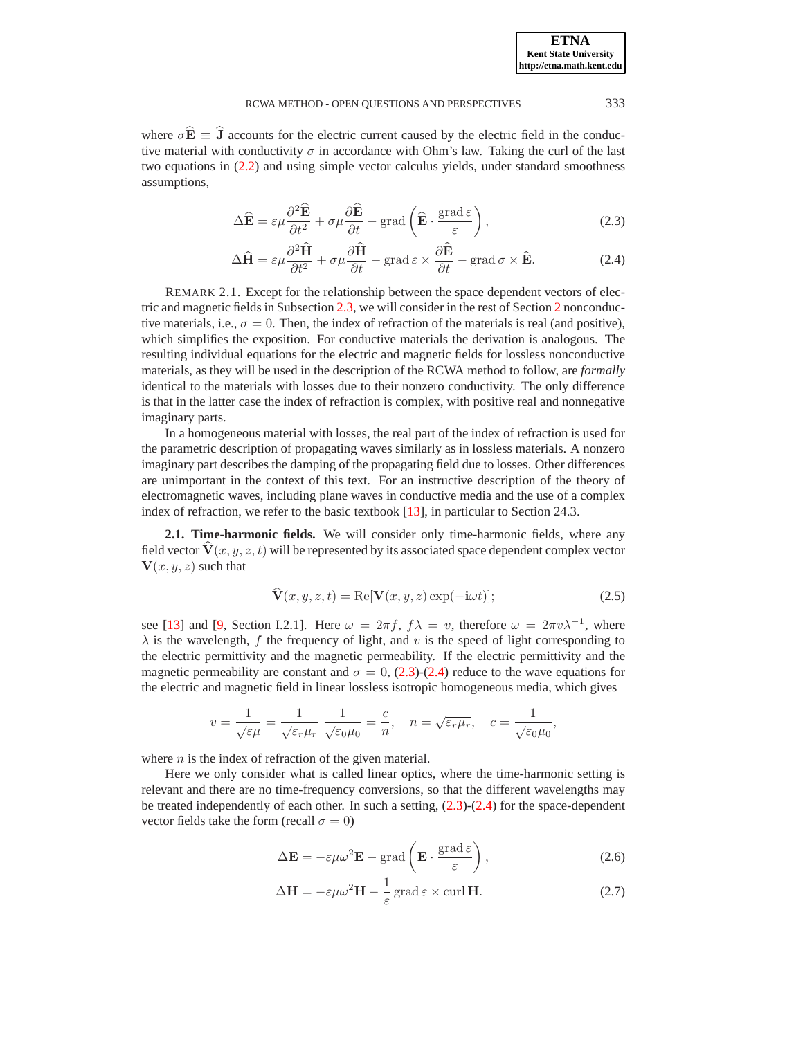where  $\sigma \mathbf{E} \equiv \mathbf{J}$  accounts for the electric current caused by the electric field in the conductive material with conductivity  $\sigma$  in accordance with Ohm's law. Taking the curl of the last two equations in [\(2.2\)](#page-1-3) and using simple vector calculus yields, under standard smoothness assumptions,

$$
\Delta \widehat{\mathbf{E}} = \varepsilon \mu \frac{\partial^2 \widehat{\mathbf{E}}}{\partial t^2} + \sigma \mu \frac{\partial \widehat{\mathbf{E}}}{\partial t} - \text{grad} \left( \widehat{\mathbf{E}} \cdot \frac{\text{grad} \,\varepsilon}{\varepsilon} \right), \tag{2.3}
$$

$$
\Delta \hat{H} = \varepsilon \mu \frac{\partial^2 \hat{H}}{\partial t^2} + \sigma \mu \frac{\partial \hat{H}}{\partial t} - \text{grad} \, \varepsilon \times \frac{\partial \hat{E}}{\partial t} - \text{grad} \, \sigma \times \hat{E}.
$$
 (2.4)

<span id="page-2-2"></span><span id="page-2-0"></span>REMARK 2.1. Except for the relationship between the space dependent vectors of electric and magnetic fields in Subsection [2.3,](#page-4-0) we will consider in the rest of Section [2](#page-1-1) nonconductive materials, i.e.,  $\sigma = 0$ . Then, the index of refraction of the materials is real (and positive), which simplifies the exposition. For conductive materials the derivation is analogous. The resulting individual equations for the electric and magnetic fields for lossless nonconductive materials, as they will be used in the description of the RCWA method to follow, are *formally* identical to the materials with losses due to their nonzero conductivity. The only difference is that in the latter case the index of refraction is complex, with positive real and nonnegative imaginary parts.

In a homogeneous material with losses, the real part of the index of refraction is used for the parametric description of propagating waves similarly as in lossless materials. A nonzero imaginary part describes the damping of the propagating field due to losses. Other differences are unimportant in the context of this text. For an instructive description of the theory of electromagnetic waves, including plane waves in conductive media and the use of a complex index of refraction, we refer to the basic textbook [\[13\]](#page-26-5), in particular to Section 24.3.

**2.1. Time-harmonic fields.** We will consider only time-harmonic fields, where any field vector  $\dot{\mathbf{V}}(x,y,z,t)$  will be represented by its associated space dependent complex vector  $V(x, y, z)$  such that

$$
\widehat{\mathbf{V}}(x, y, z, t) = \text{Re}[\mathbf{V}(x, y, z) \exp(-\mathbf{i}\omega t)];
$$
\n(2.5)

<span id="page-2-3"></span>see [\[13\]](#page-26-5) and [\[9,](#page-26-0) Section I.2.1]. Here  $\omega = 2\pi f$ ,  $f\lambda = v$ , therefore  $\omega = 2\pi v \lambda^{-1}$ , where  $\lambda$  is the wavelength, f the frequency of light, and v is the speed of light corresponding to the electric permittivity and the magnetic permeability. If the electric permittivity and the magnetic permeability are constant and  $\sigma = 0$ , [\(2.3\)](#page-2-0)-[\(2.4\)](#page-2-0) reduce to the wave equations for the electric and magnetic field in linear lossless isotropic homogeneous media, which gives

$$
v=\frac{1}{\sqrt{\varepsilon\mu}}=\frac{1}{\sqrt{\varepsilon_r\mu_r}}\,\frac{1}{\sqrt{\varepsilon_0\mu_0}}=\frac{c}{n},\quad n=\sqrt{\varepsilon_r\mu_r},\quad c=\frac{1}{\sqrt{\varepsilon_0\mu_0}},
$$

where  $n$  is the index of refraction of the given material.

<span id="page-2-1"></span>Here we only consider what is called linear optics, where the time-harmonic setting is relevant and there are no time-frequency conversions, so that the different wavelengths may be treated independently of each other. In such a setting, [\(2.3\)](#page-2-0)-[\(2.4\)](#page-2-0) for the space-dependent vector fields take the form (recall  $\sigma = 0$ )

$$
\Delta \mathbf{E} = -\varepsilon \mu \omega^2 \mathbf{E} - \text{grad}\left(\mathbf{E} \cdot \frac{\text{grad}\,\varepsilon}{\varepsilon}\right),\tag{2.6}
$$

$$
\Delta \mathbf{H} = -\varepsilon \mu \omega^2 \mathbf{H} - \frac{1}{\varepsilon} \operatorname{grad} \varepsilon \times \operatorname{curl} \mathbf{H}.
$$
 (2.7)

**ETNA Kent State University http://etna.math.kent.edu**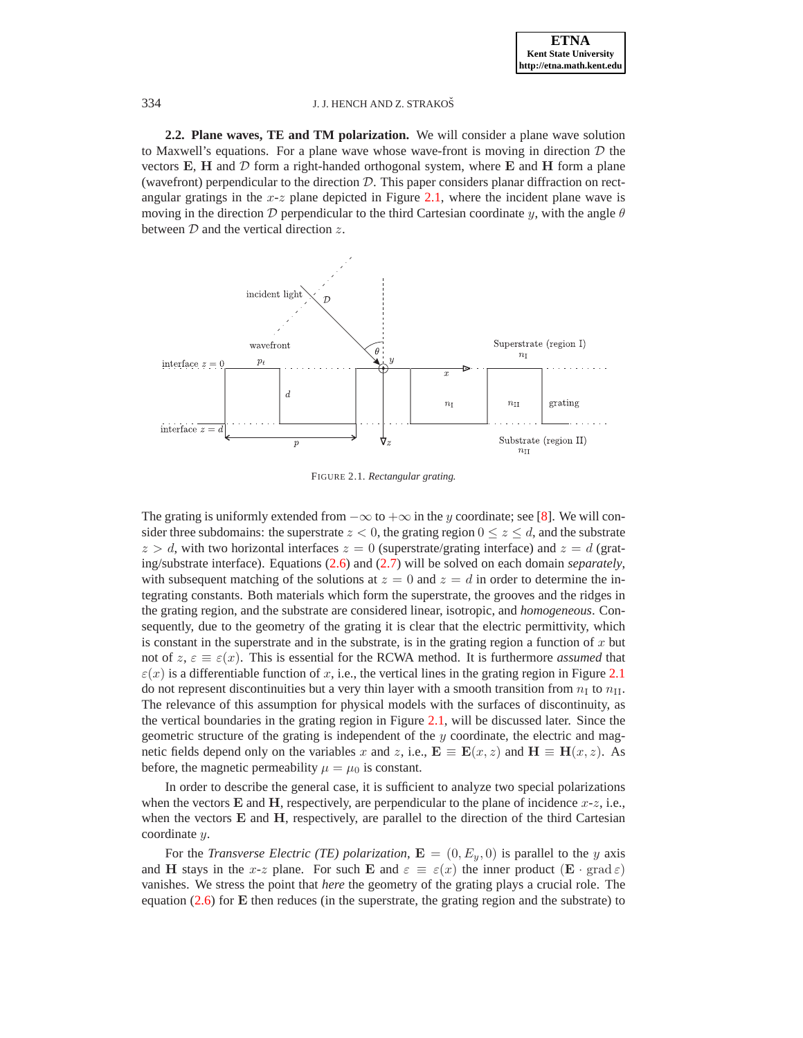**2.2. Plane waves, TE and TM polarization.** We will consider a plane wave solution to Maxwell's equations. For a plane wave whose wave-front is moving in direction  $D$  the vectors  $E$ ,  $H$  and  $D$  form a right-handed orthogonal system, where  $E$  and  $H$  form a plane (wavefront) perpendicular to the direction  $D$ . This paper considers planar diffraction on rectangular gratings in the  $x-z$  plane depicted in Figure [2.1,](#page-3-0) where the incident plane wave is moving in the direction D perpendicular to the third Cartesian coordinate y, with the angle  $\theta$ between  $D$  and the vertical direction  $z$ .



<span id="page-3-0"></span>FIGURE 2.1. *Rectangular grating.*

The grating is uniformly extended from  $-\infty$  to  $+\infty$  in the y coordinate; see [\[8\]](#page-26-4). We will consider three subdomains: the superstrate  $z < 0$ , the grating region  $0 \le z \le d$ , and the substrate  $z > d$ , with two horizontal interfaces  $z = 0$  (superstrate/grating interface) and  $z = d$  (grating/substrate interface). Equations [\(2.6\)](#page-2-1) and [\(2.7\)](#page-2-1) will be solved on each domain *separately*, with subsequent matching of the solutions at  $z = 0$  and  $z = d$  in order to determine the integrating constants. Both materials which form the superstrate, the grooves and the ridges in the grating region, and the substrate are considered linear, isotropic, and *homogeneous*. Consequently, due to the geometry of the grating it is clear that the electric permittivity, which is constant in the superstrate and in the substrate, is in the grating region a function of  $x$  but not of  $z, \varepsilon \equiv \varepsilon(x)$ . This is essential for the RCWA method. It is furthermore *assumed* that  $\varepsilon(x)$  is a differentiable function of x, i.e., the vertical lines in the grating region in Figure [2.1](#page-3-0) do not represent discontinuities but a very thin layer with a smooth transition from  $n_I$  to  $n_{II}$ . The relevance of this assumption for physical models with the surfaces of discontinuity, as the vertical boundaries in the grating region in Figure [2.1,](#page-3-0) will be discussed later. Since the geometric structure of the grating is independent of the  $y$  coordinate, the electric and magnetic fields depend only on the variables x and z, i.e.,  $\mathbf{E} \equiv \mathbf{E}(x, z)$  and  $\mathbf{H} \equiv \mathbf{H}(x, z)$ . As before, the magnetic permeability  $\mu = \mu_0$  is constant.

In order to describe the general case, it is sufficient to analyze two special polarizations when the vectors **E** and **H**, respectively, are perpendicular to the plane of incidence  $x-z$ , i.e., when the vectors **E** and **H**, respectively, are parallel to the direction of the third Cartesian coordinate y.

For the *Transverse Electric (TE) polarization*,  $\mathbf{E} = (0, E_y, 0)$  is parallel to the y axis and H stays in the x-z plane. For such E and  $\varepsilon \equiv \varepsilon(x)$  the inner product  $(\mathbf{E} \cdot \text{grad} \varepsilon)$ vanishes. We stress the point that *here* the geometry of the grating plays a crucial role. The equation  $(2.6)$  for **E** then reduces (in the superstrate, the grating region and the substrate) to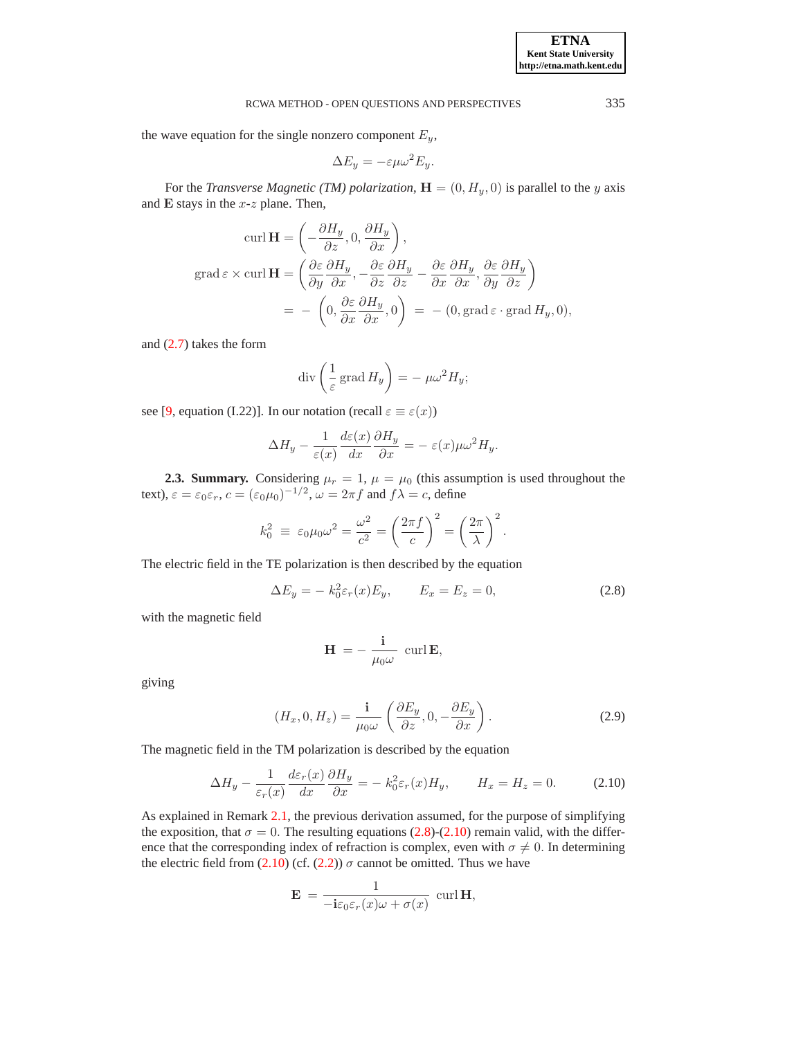the wave equation for the single nonzero component  $E_y$ ,

$$
\Delta E_y = -\varepsilon \mu \omega^2 E_y.
$$

For the *Transverse Magnetic (TM) polarization*,  $\mathbf{H} = (0, H_y, 0)$  is parallel to the y axis and  $E$  stays in the  $x-z$  plane. Then,

$$
\operatorname{curl} \mathbf{H} = \left( -\frac{\partial H_y}{\partial z}, 0, \frac{\partial H_y}{\partial x} \right),
$$
  
\n
$$
\operatorname{grad} \varepsilon \times \operatorname{curl} \mathbf{H} = \left( \frac{\partial \varepsilon}{\partial y} \frac{\partial H_y}{\partial x}, -\frac{\partial \varepsilon}{\partial z} \frac{\partial H_y}{\partial z} - \frac{\partial \varepsilon}{\partial x} \frac{\partial H_y}{\partial x}, \frac{\partial \varepsilon}{\partial y} \frac{\partial H_y}{\partial z} \right)
$$
  
\n
$$
= -\left( 0, \frac{\partial \varepsilon}{\partial x} \frac{\partial H_y}{\partial x}, 0 \right) = -\left( 0, \operatorname{grad} \varepsilon \cdot \operatorname{grad} H_y, 0 \right),
$$

and [\(2.7\)](#page-2-1) takes the form

$$
\operatorname{div}\left(\frac{1}{\varepsilon}\operatorname{grad} H_y\right) = -\mu\omega^2 H_y;
$$

see [\[9,](#page-26-0) equation (I.22)]. In our notation (recall  $\varepsilon \equiv \varepsilon(x)$ )

$$
\Delta H_y - \frac{1}{\varepsilon(x)} \frac{d\varepsilon(x)}{dx} \frac{\partial H_y}{\partial x} = -\varepsilon(x) \mu \omega^2 H_y.
$$

<span id="page-4-0"></span>**2.3. Summary.** Considering  $\mu_r = 1$ ,  $\mu = \mu_0$  (this assumption is used throughout the text),  $\varepsilon = \varepsilon_0 \varepsilon_r$ ,  $c = (\varepsilon_0 \mu_0)^{-1/2}$ ,  $\omega = 2\pi f$  and  $f\lambda = c$ , define

$$
k_0^2 \equiv \varepsilon_0 \mu_0 \omega^2 = \frac{\omega^2}{c^2} = \left(\frac{2\pi f}{c}\right)^2 = \left(\frac{2\pi}{\lambda}\right)^2.
$$

<span id="page-4-1"></span>The electric field in the TE polarization is then described by the equation

$$
\Delta E_y = -k_0^2 \varepsilon_r(x) E_y, \qquad E_x = E_z = 0,
$$
\n(2.8)

with the magnetic field

$$
\mathbf{H} = -\frac{\mathbf{i}}{\mu_0 \omega} \, \, \text{curl} \, \mathbf{E},
$$

<span id="page-4-3"></span>giving

$$
(H_x, 0, H_z) = \frac{\mathbf{i}}{\mu_0 \omega} \left( \frac{\partial E_y}{\partial z}, 0, -\frac{\partial E_y}{\partial x} \right).
$$
 (2.9)

<span id="page-4-2"></span>The magnetic field in the TM polarization is described by the equation

$$
\Delta H_y - \frac{1}{\varepsilon_r(x)} \frac{d\varepsilon_r(x)}{dx} \frac{\partial H_y}{\partial x} = -k_0^2 \varepsilon_r(x) H_y, \qquad H_x = H_z = 0. \tag{2.10}
$$

As explained in Remark [2.1,](#page-2-2) the previous derivation assumed, for the purpose of simplifying the exposition, that  $\sigma = 0$ . The resulting equations [\(2.8\)](#page-4-1)-[\(2.10\)](#page-4-2) remain valid, with the difference that the corresponding index of refraction is complex, even with  $\sigma \neq 0$ . In determining the electric field from [\(2.10\)](#page-4-2) (cf. [\(2.2\)](#page-1-3))  $\sigma$  cannot be omitted. Thus we have

$$
\mathbf{E} = \frac{1}{-\mathbf{i}\varepsilon_0 \varepsilon_r(x)\omega + \sigma(x)} \, \operatorname{curl} \mathbf{H},
$$

1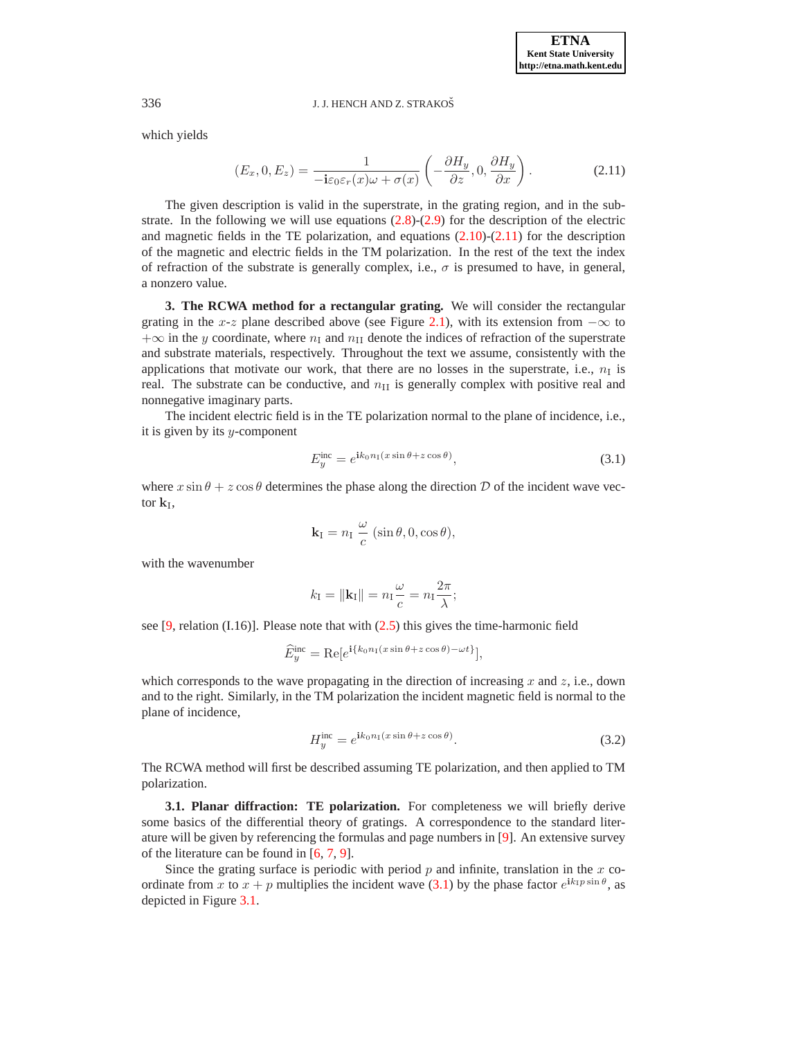<span id="page-5-1"></span>which yields

$$
(E_x, 0, E_z) = \frac{1}{-\mathbf{i}\varepsilon_0 \varepsilon_r(x)\omega + \sigma(x)} \left(-\frac{\partial H_y}{\partial z}, 0, \frac{\partial H_y}{\partial x}\right).
$$
 (2.11)

The given description is valid in the superstrate, in the grating region, and in the substrate. In the following we will use equations  $(2.8)-(2.9)$  $(2.8)-(2.9)$  for the description of the electric and magnetic fields in the TE polarization, and equations [\(2.10\)](#page-4-2)-[\(2.11\)](#page-5-1) for the description of the magnetic and electric fields in the TM polarization. In the rest of the text the index of refraction of the substrate is generally complex, i.e.,  $\sigma$  is presumed to have, in general, a nonzero value.

<span id="page-5-0"></span>**3. The RCWA method for a rectangular grating.** We will consider the rectangular grating in the x-z plane described above (see Figure [2.1\)](#page-3-0), with its extension from  $-\infty$  to  $+\infty$  in the y coordinate, where  $n_1$  and  $n_{II}$  denote the indices of refraction of the superstrate and substrate materials, respectively. Throughout the text we assume, consistently with the applications that motivate our work, that there are no losses in the superstrate, i.e.,  $n_I$  is real. The substrate can be conductive, and  $n_{\text{II}}$  is generally complex with positive real and nonnegative imaginary parts.

The incident electric field is in the TE polarization normal to the plane of incidence, i.e., it is given by its  $y$ -component

$$
E_y^{\text{inc}} = e^{\mathbf{i}k_0 n_1 (x \sin \theta + z \cos \theta)},\tag{3.1}
$$

<span id="page-5-2"></span>where  $x \sin \theta + z \cos \theta$  determines the phase along the direction D of the incident wave vector  $\mathbf{k}_\text{I}$ ,

$$
\mathbf{k}_{\mathrm{I}} = n_{\mathrm{I}} \frac{\omega}{c} (\sin \theta, 0, \cos \theta),
$$

with the wavenumber

$$
k_{\rm I} = \|\mathbf{k}_{\rm I}\| = n_{\rm I} \frac{\omega}{c} = n_{\rm I} \frac{2\pi}{\lambda};
$$

see  $[9,$  relation  $(I.16)$ ]. Please note that with  $(2.5)$  this gives the time-harmonic field

$$
\widehat{E}_y^{\text{inc}} = \text{Re}[e^{\mathbf{i}\{k_0 n_1(x\sin\theta + z\cos\theta) - \omega t\}}],
$$

which corresponds to the wave propagating in the direction of increasing x and z, i.e., down and to the right. Similarly, in the TM polarization the incident magnetic field is normal to the plane of incidence,

$$
H_y^{\text{inc}} = e^{\mathbf{i}k_0 n_1 (x \sin \theta + z \cos \theta)}.
$$
\n(3.2)

<span id="page-5-3"></span>The RCWA method will first be described assuming TE polarization, and then applied to TM polarization.

**3.1. Planar diffraction: TE polarization.** For completeness we will briefly derive some basics of the differential theory of gratings. A correspondence to the standard literature will be given by referencing the formulas and page numbers in [\[9\]](#page-26-0). An extensive survey of the literature can be found in [\[6,](#page-26-2) [7,](#page-26-3) [9\]](#page-26-0).

Since the grating surface is periodic with period  $p$  and infinite, translation in the  $x$  coordinate from x to  $x + p$  multiplies the incident wave [\(3.1\)](#page-5-2) by the phase factor  $e^{ik_1 p \sin \theta}$ , as depicted in Figure [3.1.](#page-6-0)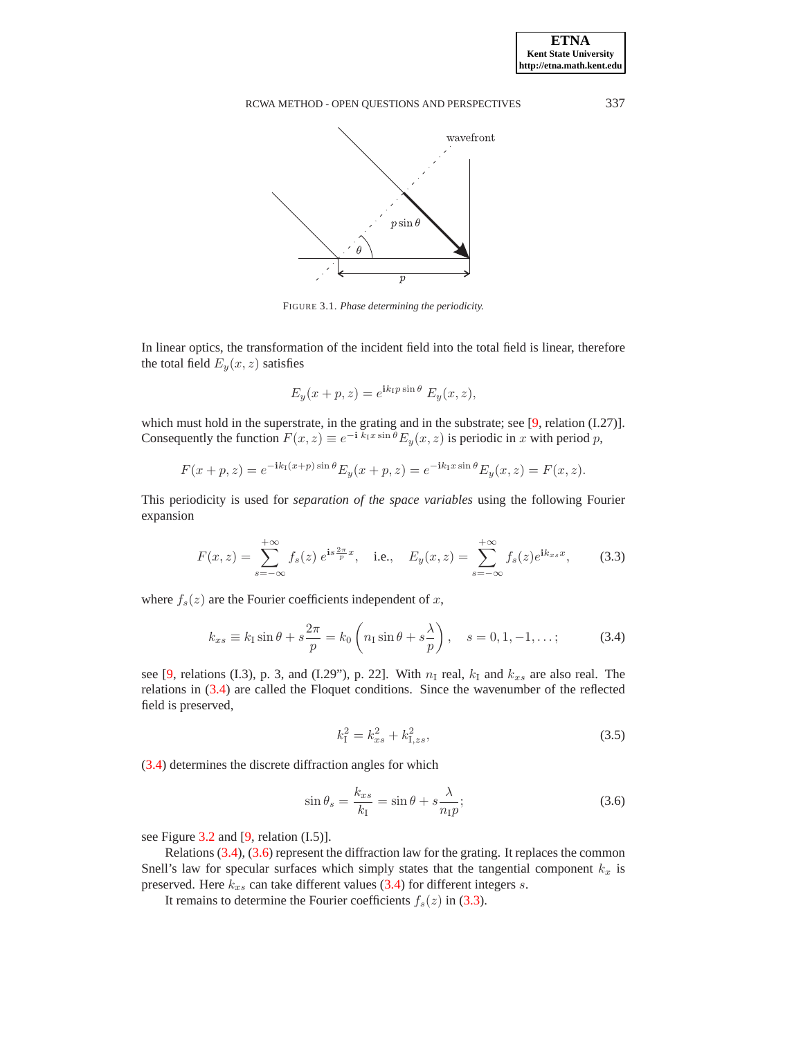

<span id="page-6-0"></span>FIGURE 3.1. *Phase determining the periodicity.*

In linear optics, the transformation of the incident field into the total field is linear, therefore the total field  $E_y(x, z)$  satisfies

$$
E_y(x+p,z) = e^{\mathbf{i}k_1 p \sin \theta} E_y(x,z),
$$

which must hold in the superstrate, in the grating and in the substrate; see [\[9,](#page-26-0) relation (I.27)]. Consequently the function  $F(x, z) \equiv e^{-i \overrightarrow{k}_1 x \sin \theta} E_y(x, z)$  is periodic in x with period p,

$$
F(x+p, z) = e^{-i k_1 (x+p) \sin \theta} E_y(x+p, z) = e^{-i k_1 x \sin \theta} E_y(x, z) = F(x, z).
$$

This periodicity is used for *separation of the space variables* using the following Fourier expansion

$$
F(x,z) = \sum_{s=-\infty}^{+\infty} f_s(z) e^{is\frac{2\pi}{p}x}, \quad \text{i.e.,} \quad E_y(x,z) = \sum_{s=-\infty}^{+\infty} f_s(z) e^{ik_{xs}x}, \tag{3.3}
$$

<span id="page-6-3"></span><span id="page-6-1"></span>where  $f_s(z)$  are the Fourier coefficients independent of x,

$$
k_{xs} \equiv k_{\rm I} \sin \theta + s \frac{2\pi}{p} = k_0 \left( n_{\rm I} \sin \theta + s \frac{\lambda}{p} \right), \quad s = 0, 1, -1, \dots; \tag{3.4}
$$

see [\[9,](#page-26-0) relations (I.3), p. 3, and (I.29"), p. 22]. With  $n<sub>I</sub>$  real,  $k<sub>I</sub>$  and  $k<sub>xs</sub>$  are also real. The relations in [\(3.4\)](#page-6-1) are called the Floquet conditions. Since the wavenumber of the reflected field is preserved,

$$
k_{\rm I}^2 = k_{xs}^2 + k_{\rm I,zs}^2,\tag{3.5}
$$

<span id="page-6-2"></span>[\(3.4\)](#page-6-1) determines the discrete diffraction angles for which

<span id="page-6-4"></span>
$$
\sin \theta_s = \frac{k_{xs}}{k_{\rm I}} = \sin \theta + s \frac{\lambda}{n_{\rm I} p};\tag{3.6}
$$

see Figure [3.2](#page-7-0) and [\[9,](#page-26-0) relation (I.5)].

Relations [\(3.4\)](#page-6-1), [\(3.6\)](#page-6-2) represent the diffraction law for the grating. It replaces the common Snell's law for specular surfaces which simply states that the tangential component  $k_x$  is preserved. Here  $k_{xs}$  can take different values [\(3.4\)](#page-6-1) for different integers s.

It remains to determine the Fourier coefficients  $f_s(z)$  in [\(3.3\)](#page-6-3).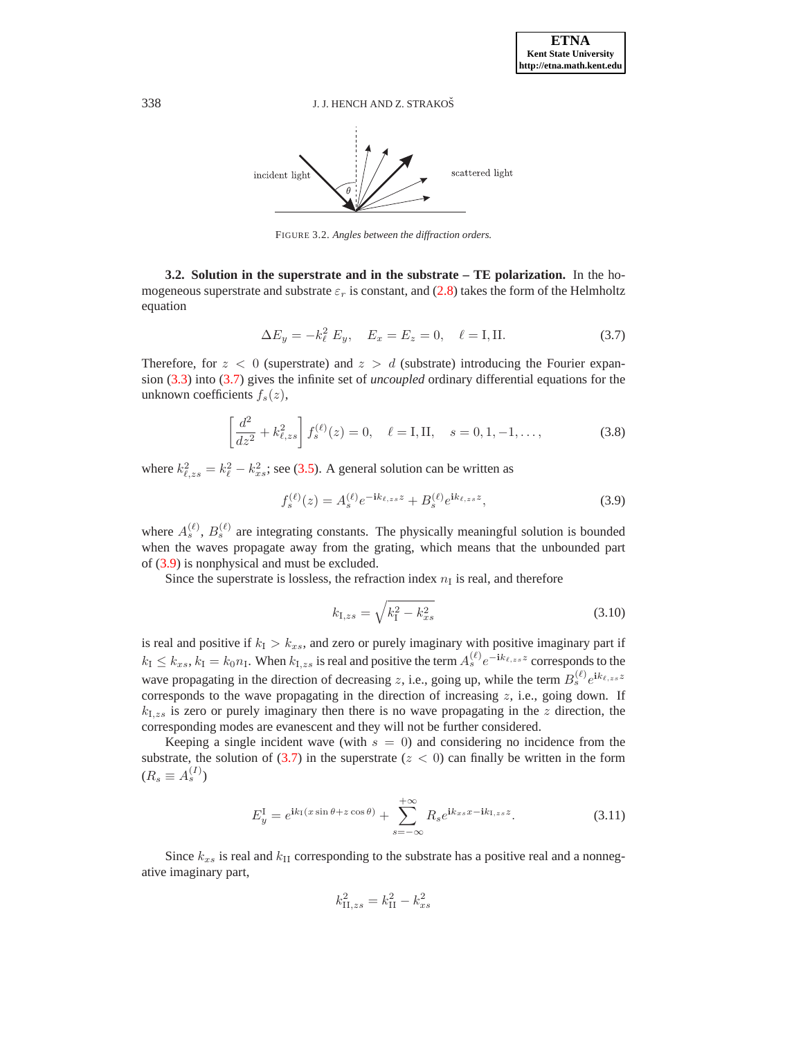

<span id="page-7-0"></span>FIGURE 3.2. *Angles between the diffraction orders.*

<span id="page-7-6"></span>**3.2. Solution in the superstrate and in the substrate – TE polarization.** In the homogeneous superstrate and substrate  $\varepsilon_r$  is constant, and [\(2.8\)](#page-4-1) takes the form of the Helmholtz equation

$$
\Delta E_y = -k_\ell^2 E_y, \quad E_x = E_z = 0, \quad \ell = I, II.
$$
\n(3.7)

<span id="page-7-1"></span>Therefore, for  $z < 0$  (superstrate) and  $z > d$  (substrate) introducing the Fourier expansion [\(3.3\)](#page-6-3) into [\(3.7\)](#page-7-1) gives the infinite set of *uncoupled* ordinary differential equations for the unknown coefficients  $f_s(z)$ ,

$$
\left[\frac{d^2}{dz^2} + k_{\ell,zs}^2\right]f_s^{(\ell)}(z) = 0, \quad \ell = \text{I}, \text{II}, \quad s = 0, 1, -1, \dots,
$$
\n(3.8)

<span id="page-7-3"></span><span id="page-7-2"></span>where  $k_{\ell,zs}^2 = k_{\ell}^2 - k_{xs}^2$ ; see [\(3.5\)](#page-6-4). A general solution can be written as

$$
f_s^{(\ell)}(z) = A_s^{(\ell)} e^{-ik_{\ell,zs}z} + B_s^{(\ell)} e^{ik_{\ell,zs}z}, \tag{3.9}
$$

where  $A_s^{(\ell)}$ ,  $B_s^{(\ell)}$  are integrating constants. The physically meaningful solution is bounded when the waves propagate away from the grating, which means that the unbounded part of [\(3.9\)](#page-7-2) is nonphysical and must be excluded.

<span id="page-7-5"></span>Since the superstrate is lossless, the refraction index  $n<sub>I</sub>$  is real, and therefore

$$
k_{\text{I},zs} = \sqrt{k_{\text{I}}^2 - k_{xs}^2} \tag{3.10}
$$

is real and positive if  $k_1 > k_{xs}$ , and zero or purely imaginary with positive imaginary part if  $k_1 \le k_{xs}, k_1 = k_0 n_I$ . When  $k_{I,zs}$  is real and positive the term  $A_s^{(\ell)} e^{-ik_{\ell,zs}z}$  corresponds to the wave propagating in the direction of decreasing z, i.e., going up, while the term  $B_s^{(\ell)} e^{ik_{\ell,z}}$ corresponds to the wave propagating in the direction of increasing  $z$ , i.e., going down. If  $k_{1,zs}$  is zero or purely imaginary then there is no wave propagating in the z direction, the corresponding modes are evanescent and they will not be further considered.

Keeping a single incident wave (with  $s = 0$ ) and considering no incidence from the substrate, the solution of  $(3.7)$  in the superstrate  $(z < 0)$  can finally be written in the form  $(R_s \equiv A_s^{(I)})$ 

$$
E_y^{\text{I}} = e^{\text{i}k_{\text{I}}(x\sin\theta + z\cos\theta)} + \sum_{s=-\infty}^{+\infty} R_s e^{\text{i}k_{xs}x - \text{i}k_{\text{I},zs}z}.
$$
 (3.11)

<span id="page-7-4"></span>Since  $k_{xs}$  is real and  $k_{II}$  corresponding to the substrate has a positive real and a nonnegative imaginary part,

$$
k_{\rm II, zs}^2 = k_{\rm II}^2 - k_{xs}^2
$$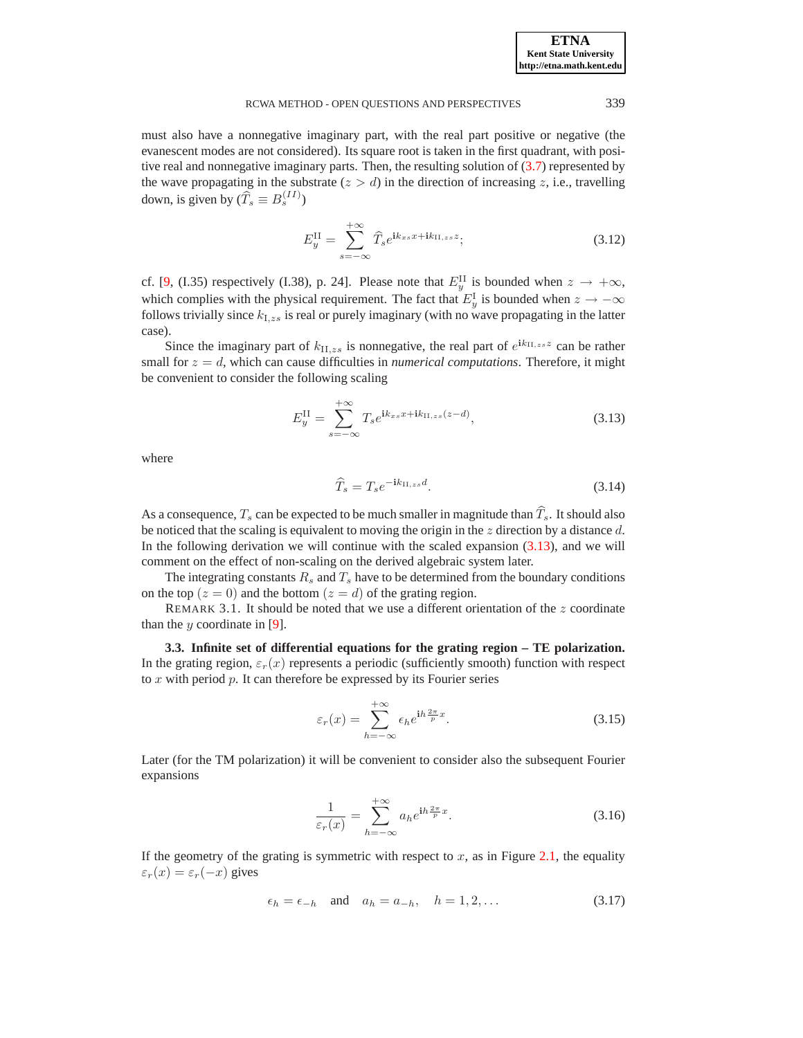must also have a nonnegative imaginary part, with the real part positive or negative (the evanescent modes are not considered). Its square root is taken in the first quadrant, with positive real and nonnegative imaginary parts. Then, the resulting solution of  $(3.7)$  represented by the wave propagating in the substrate  $(z > d)$  in the direction of increasing z, i.e., travelling down, is given by  $(\widehat{T}_s \equiv B_s^{(II)})$ 

$$
E_y^{\text{II}} = \sum_{s=-\infty}^{+\infty} \widehat{T}_s e^{\mathbf{i}k_{xs}x + \mathbf{i}k_{\text{II},zs}z};\tag{3.12}
$$

<span id="page-8-2"></span>cf. [\[9,](#page-26-0) (I.35) respectively (I.38), p. 24]. Please note that  $E_y^{\text{II}}$  is bounded when  $z \to +\infty$ , which complies with the physical requirement. The fact that  $E_y^{\text{I}}$  is bounded when  $z \to -\infty$ follows trivially since  $k_{I,zs}$  is real or purely imaginary (with no wave propagating in the latter case).

Since the imaginary part of  $k_{\text{II},zs}$  is nonnegative, the real part of  $e^{ik_{\text{II},zs}z}$  can be rather small for  $z = d$ , which can cause difficulties in *numerical computations*. Therefore, it might be convenient to consider the following scaling

<span id="page-8-4"></span>
$$
E_y^{\text{II}} = \sum_{s=-\infty}^{+\infty} T_s e^{ik_{xs}x + ik_{\text{II},zs}(z-d)}, \tag{3.13}
$$

<span id="page-8-0"></span>where

$$
\widehat{T}_s = T_s e^{-ik_{\text{II},zs}d}.\tag{3.14}
$$

As a consequence,  $T_s$  can be expected to be much smaller in magnitude than  $\widehat{T}_s$ . It should also be noticed that the scaling is equivalent to moving the origin in the  $z$  direction by a distance  $d$ . In the following derivation we will continue with the scaled expansion  $(3.13)$ , and we will comment on the effect of non-scaling on the derived algebraic system later.

The integrating constants  $R_s$  and  $T_s$  have to be determined from the boundary conditions on the top  $(z = 0)$  and the bottom  $(z = d)$  of the grating region.

REMARK 3.1. It should be noted that we use a different orientation of the  $z$  coordinate than the  $y$  coordinate in [\[9\]](#page-26-0).

**3.3. Infinite set of differential equations for the grating region – TE polarization.** In the grating region,  $\varepsilon_r(x)$  represents a periodic (sufficiently smooth) function with respect to  $x$  with period  $p$ . It can therefore be expressed by its Fourier series

$$
\varepsilon_r(x) = \sum_{h=-\infty}^{+\infty} \epsilon_h e^{ih\frac{2\pi}{p}x}.
$$
 (3.15)

<span id="page-8-1"></span>Later (for the TM polarization) it will be convenient to consider also the subsequent Fourier expansions

$$
\frac{1}{\varepsilon_r(x)} = \sum_{h=-\infty}^{+\infty} a_h e^{ih\frac{2\pi}{p}x}.
$$
 (3.16)

<span id="page-8-5"></span><span id="page-8-3"></span>If the geometry of the grating is symmetric with respect to  $x$ , as in Figure [2.1,](#page-3-0) the equality  $\varepsilon_r(x) = \varepsilon_r(-x)$  gives

$$
\epsilon_h = \epsilon_{-h} \quad \text{and} \quad a_h = a_{-h}, \quad h = 1, 2, \dots \tag{3.17}
$$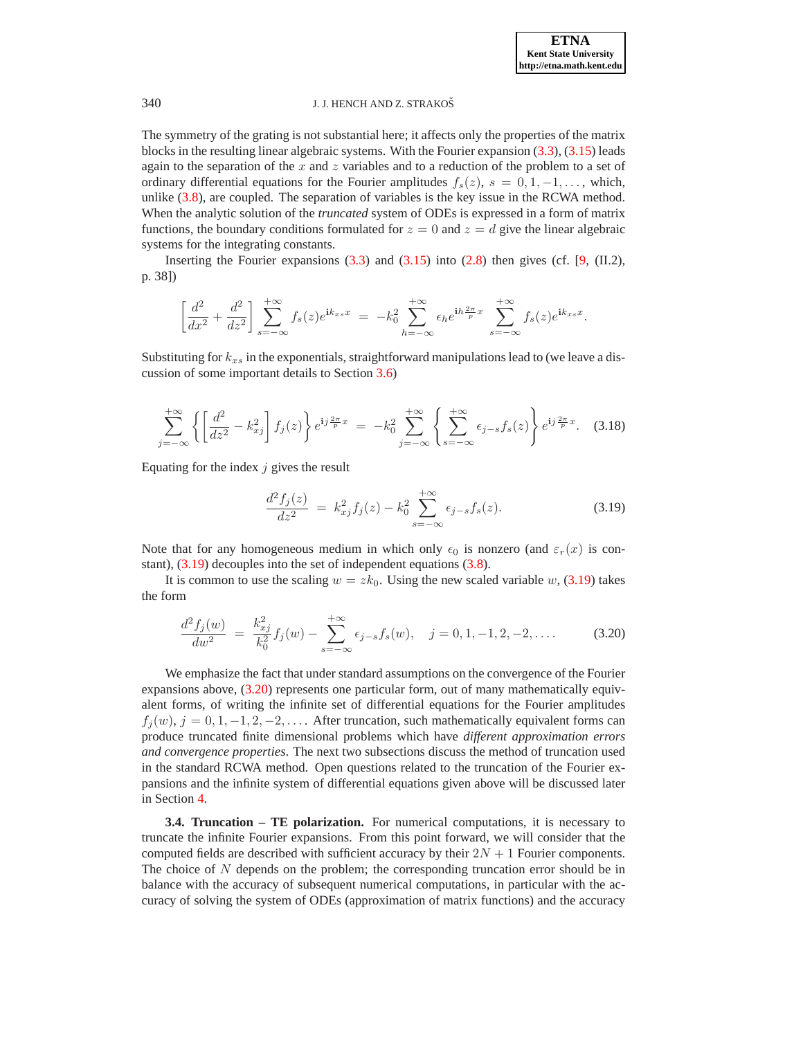The symmetry of the grating is not substantial here; it affects only the properties of the matrix blocks in the resulting linear algebraic systems. With the Fourier expansion [\(3.3\)](#page-6-3), [\(3.15\)](#page-8-1) leads again to the separation of the x and z variables and to a reduction of the problem to a set of ordinary differential equations for the Fourier amplitudes  $f_s(z)$ ,  $s = 0, 1, -1, \ldots$ , which, unlike [\(3.8\)](#page-7-3), are coupled. The separation of variables is the key issue in the RCWA method. When the analytic solution of the *truncated* system of ODEs is expressed in a form of matrix functions, the boundary conditions formulated for  $z = 0$  and  $z = d$  give the linear algebraic systems for the integrating constants.

Inserting the Fourier expansions  $(3.3)$  and  $(3.15)$  into  $(2.8)$  then gives (cf. [\[9,](#page-26-0) (II.2), p. 38])

$$
\left[\frac{d^2}{dx^2} + \frac{d^2}{dz^2}\right] \sum_{s=-\infty}^{+\infty} f_s(z) e^{\mathbf{i}k_{xs}x} = -k_0^2 \sum_{h=-\infty}^{+\infty} \epsilon_h e^{\mathbf{i}h\frac{2\pi}{p}x} \sum_{s=-\infty}^{+\infty} f_s(z) e^{\mathbf{i}k_{xs}x}.
$$

Substituting for  $k_{xs}$  in the exponentials, straightforward manipulations lead to (we leave a discussion of some important details to Section [3.6\)](#page-14-0)

$$
\sum_{j=-\infty}^{+\infty} \left\{ \left[ \frac{d^2}{dz^2} - k_{xj}^2 \right] f_j(z) \right\} e^{ij\frac{2\pi}{p}x} = -k_0^2 \sum_{j=-\infty}^{+\infty} \left\{ \sum_{s=-\infty}^{+\infty} \epsilon_{j-s} f_s(z) \right\} e^{ij\frac{2\pi}{p}x}.
$$
 (3.18)

<span id="page-9-0"></span>Equating for the index  $j$  gives the result

$$
\frac{d^2f_j(z)}{dz^2} = k_{xj}^2 f_j(z) - k_0^2 \sum_{s=-\infty}^{+\infty} \epsilon_{j-s} f_s(z).
$$
 (3.19)

Note that for any homogeneous medium in which only  $\epsilon_0$  is nonzero (and  $\varepsilon_r(x)$  is constant), [\(3.19\)](#page-9-0) decouples into the set of independent equations [\(3.8\)](#page-7-3).

It is common to use the scaling  $w = zk_0$ . Using the new scaled variable w, [\(3.19\)](#page-9-0) takes the form

$$
\frac{d^2 f_j(w)}{dw^2} = \frac{k_{xj}^2}{k_0^2} f_j(w) - \sum_{s=-\infty}^{+\infty} \epsilon_{j-s} f_s(w), \quad j = 0, 1, -1, 2, -2, \dots
$$
 (3.20)

<span id="page-9-1"></span>We emphasize the fact that under standard assumptions on the convergence of the Fourier expansions above, [\(3.20\)](#page-9-1) represents one particular form, out of many mathematically equivalent forms, of writing the infinite set of differential equations for the Fourier amplitudes  $f_i(w)$ ,  $j = 0, 1, -1, 2, -2, \ldots$ . After truncation, such mathematically equivalent forms can produce truncated finite dimensional problems which have *different approximation errors and convergence properties*. The next two subsections discuss the method of truncation used in the standard RCWA method. Open questions related to the truncation of the Fourier expansions and the infinite system of differential equations given above will be discussed later in Section [4.](#page-24-0)

<span id="page-9-2"></span>**3.4. Truncation – TE polarization.** For numerical computations, it is necessary to truncate the infinite Fourier expansions. From this point forward, we will consider that the computed fields are described with sufficient accuracy by their  $2N + 1$  Fourier components. The choice of  $N$  depends on the problem; the corresponding truncation error should be in balance with the accuracy of subsequent numerical computations, in particular with the accuracy of solving the system of ODEs (approximation of matrix functions) and the accuracy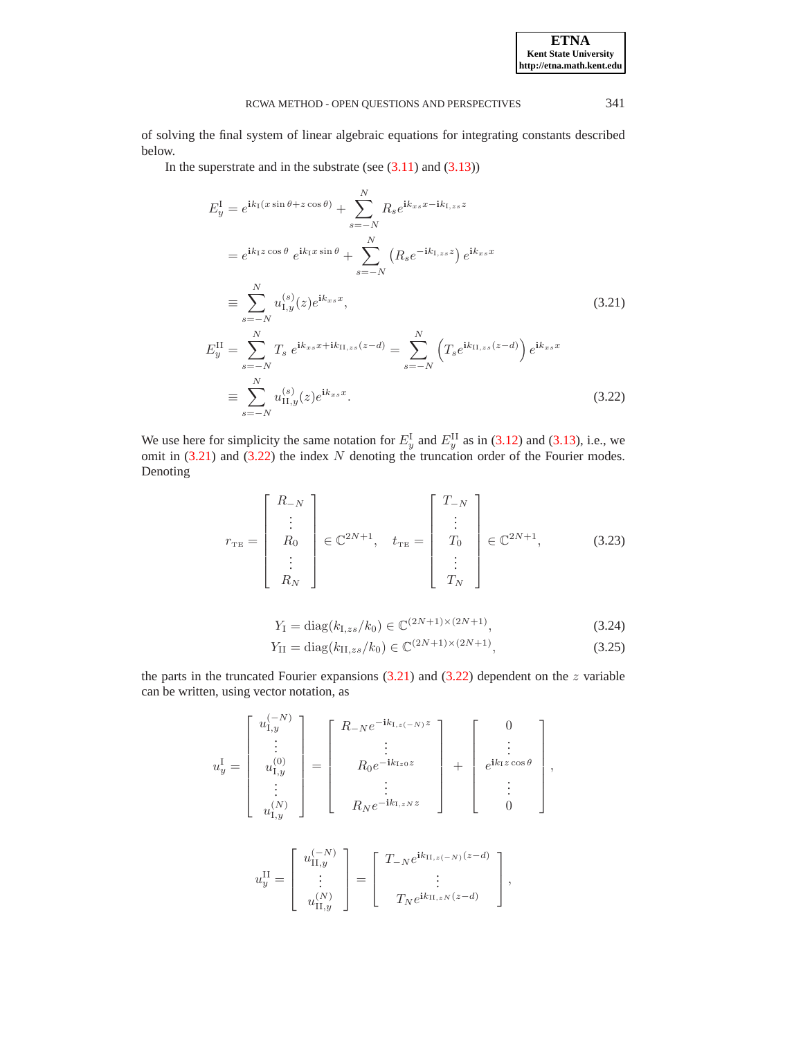of solving the final system of linear algebraic equations for integrating constants described below.

<span id="page-10-0"></span>In the superstrate and in the substrate (see  $(3.11)$  and  $(3.13)$ )

$$
E_{y}^{I} = e^{ik_{I}(x \sin \theta + z \cos \theta)} + \sum_{s=-N}^{N} R_{s} e^{ik_{xs}x - ik_{I,zs}z}
$$
  
\n
$$
= e^{ik_{I}z \cos \theta} e^{ik_{I}x \sin \theta} + \sum_{s=-N}^{N} (R_{s} e^{-ik_{I,zs}z}) e^{ik_{xs}x}
$$
  
\n
$$
\equiv \sum_{s=-N}^{N} u_{I,y}^{(s)}(z) e^{ik_{xs}x},
$$
  
\n
$$
E_{y}^{II} = \sum_{s=-N}^{N} T_{s} e^{ik_{xs}x + ik_{II,zs}(z - d)} = \sum_{s=-N}^{N} (T_{s} e^{ik_{II,zs}(z - d)}) e^{ik_{xs}x}
$$
  
\n
$$
\equiv \sum_{s=-N}^{N} u_{II,y}^{(s)}(z) e^{ik_{xs}x}.
$$
  
\n(3.22)

<span id="page-10-2"></span>We use here for simplicity the same notation for  $E_y^I$  and  $E_y^{II}$  as in [\(3.12\)](#page-8-2) and [\(3.13\)](#page-8-0), i.e., we omit in  $(3.21)$  and  $(3.22)$  the index N denoting the truncation order of the Fourier modes. Denoting

$$
r_{\text{TE}} = \begin{bmatrix} R_{-N} \\ \vdots \\ R_0 \\ \vdots \\ R_N \end{bmatrix} \in \mathbb{C}^{2N+1}, \quad t_{\text{TE}} = \begin{bmatrix} T_{-N} \\ \vdots \\ T_0 \\ \vdots \\ T_N \end{bmatrix} \in \mathbb{C}^{2N+1}, \tag{3.23}
$$

$$
Y_{\rm I} = \text{diag}(k_{\rm I,zs}/k_0) \in \mathbb{C}^{(2N+1)\times(2N+1)},\tag{3.24}
$$

$$
Y_{\text{II}} = \text{diag}(k_{\text{II},zs}/k_0) \in \mathbb{C}^{(2N+1)\times(2N+1)},\tag{3.25}
$$

<span id="page-10-1"></span>the parts in the truncated Fourier expansions  $(3.21)$  and  $(3.22)$  dependent on the z variable can be written, using vector notation, as

$$
u_y^{\mathrm{I}} = \begin{bmatrix} u_{1,y}^{(-N)} \\ \vdots \\ u_{1,y}^{(0)} \\ \vdots \\ u_{1,y}^{(N)} \end{bmatrix} = \begin{bmatrix} R_{-N}e^{-ik_{1,z}(-N)z} \\ \vdots \\ R_0e^{-ik_{1z0}z} \\ \vdots \\ R_Ne^{-ik_{1,zN}z} \end{bmatrix} + \begin{bmatrix} 0 \\ \vdots \\ e^{ik_{1}z\cos\theta} \\ \vdots \\ 0 \end{bmatrix},
$$

$$
u_y^{\rm II} = \left[ \begin{array}{c} u_{\rm II,y}^{(-N)} \\ \vdots \\ u_{\rm II,y}^{(N)} \end{array} \right] = \left[ \begin{array}{c} T_{-N}e^{{\bf i}k_{\rm II,z(-N)}(z-d)} \\ \vdots \\ T_{N}e^{{\bf i}k_{\rm II,zN}(z-d)} \end{array} \right],
$$

**ETNA Kent State University http://etna.math.kent.edu**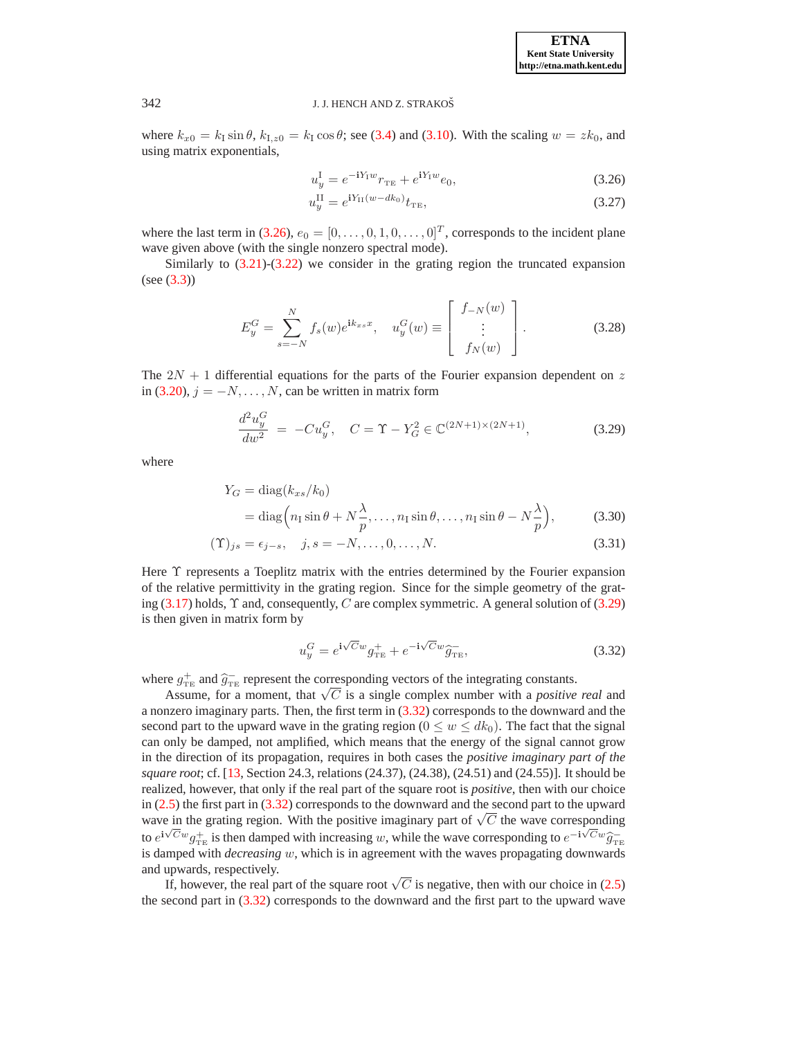<span id="page-11-0"></span>where  $k_{x0} = k_1 \sin \theta$ ,  $k_{1,z0} = k_1 \cos \theta$ ; see [\(3.4\)](#page-6-1) and [\(3.10\)](#page-7-5). With the scaling  $w = zk_0$ , and using matrix exponentials,

$$
u_y^{\text{I}} = e^{-iY_{\text{I}}w}r_{\text{TE}} + e^{iY_{\text{I}}w}e_0,\tag{3.26}
$$

$$
u_y^{\rm II} = e^{iY_{\rm II}(w - dk_0)} t_{\rm TE},\tag{3.27}
$$

where the last term in [\(3.26\)](#page-11-0),  $e_0 = [0, \ldots, 0, 1, 0, \ldots, 0]^T$ , corresponds to the incident plane wave given above (with the single nonzero spectral mode).

Similarly to [\(3.21\)](#page-10-0)-[\(3.22\)](#page-10-0) we consider in the grating region the truncated expansion (see [\(3.3\)](#page-6-3))

$$
E_y^G = \sum_{s=-N}^N f_s(w)e^{ik_{xs}x}, \quad u_y^G(w) \equiv \begin{bmatrix} f_{-N}(w) \\ \vdots \\ f_N(w) \end{bmatrix}.
$$
 (3.28)

<span id="page-11-3"></span>The  $2N + 1$  differential equations for the parts of the Fourier expansion dependent on z in [\(3.20\)](#page-9-1),  $j = -N, \ldots, N$ , can be written in matrix form

$$
\frac{d^2u_y^G}{dw^2} = -Cu_y^G, \quad C = \Upsilon - Y_G^2 \in \mathbb{C}^{(2N+1)\times(2N+1)},\tag{3.29}
$$

<span id="page-11-4"></span><span id="page-11-1"></span>where

$$
Y_G = \text{diag}(k_{xs}/k_0)
$$
  
= 
$$
\text{diag}\Big(n_1 \sin \theta + N \frac{\lambda}{p}, \dots, n_1 \sin \theta, \dots, n_1 \sin \theta - N \frac{\lambda}{p}\Big),
$$
 (3.30)

$$
(\Upsilon)_{js} = \epsilon_{j-s}, \quad j, s = -N, \dots, 0, \dots, N. \tag{3.31}
$$

Here  $\Upsilon$  represents a Toeplitz matrix with the entries determined by the Fourier expansion of the relative permittivity in the grating region. Since for the simple geometry of the grating  $(3.17)$  holds,  $\Upsilon$  and, consequently, C are complex symmetric. A general solution of  $(3.29)$ is then given in matrix form by

$$
u_y^G = e^{i\sqrt{C}w} g_{\text{TE}}^+ + e^{-i\sqrt{C}w} \widehat{g}_{\text{TE}}^-, \tag{3.32}
$$

<span id="page-11-2"></span>where  $g_{\text{TE}}^+$  and  $\hat{g}_{\text{TE}}^-$  represent the corresponding vectors of the integrating constants.

Assume, for a moment, that  $\sqrt{C}$  is a single complex number with a *positive real* and a nonzero imaginary parts. Then, the first term in [\(3.32\)](#page-11-2) corresponds to the downward and the second part to the upward wave in the grating region ( $0 \leq w \leq dk_0$ ). The fact that the signal can only be damped, not amplified, which means that the energy of the signal cannot grow in the direction of its propagation, requires in both cases the *positive imaginary part of the square root*; cf. [\[13,](#page-26-5) Section 24.3, relations (24.37), (24.38), (24.51) and (24.55)]. It should be realized, however, that only if the real part of the square root is *positive*, then with our choice in [\(2.5\)](#page-2-3) the first part in [\(3.32\)](#page-11-2) corresponds to the downward and the second part to the upward wave in the grating region. With the positive imaginary part of  $\sqrt{C}$  the wave corresponding to  $e^{i\sqrt{C}w}g_{\text{TE}}^+$  is then damped with increasing w, while the wave corresponding to  $e^{-i\sqrt{C}w}\hat{g}_{\text{TE}}^$ is damped with *decreasing* w, which is in agreement with the waves propagating downwards and upwards, respectively.

If, however, the real part of the square root  $\sqrt{C}$  is negative, then with our choice in [\(2.5\)](#page-2-3) the second part in [\(3.32\)](#page-11-2) corresponds to the downward and the first part to the upward wave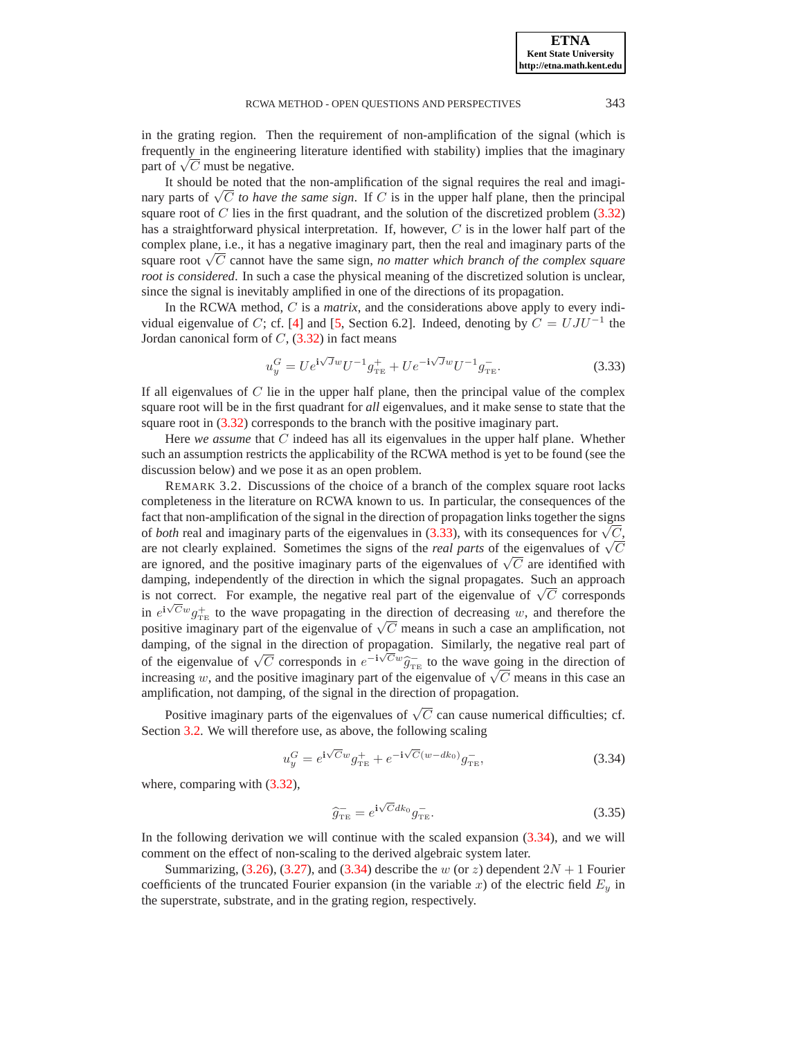**ETNA Kent State University http://etna.math.kent.edu**

in the grating region. Then the requirement of non-amplification of the signal (which is frequently in the engineering literature identified with stability) implies that the imaginary part of  $\sqrt{C}$  must be negative.

It should be noted that the non-amplification of the signal requires the real and imaginary parts of  $\sqrt{C}$  *to have the same sign*. If C is in the upper half plane, then the principal square root of  $C$  lies in the first quadrant, and the solution of the discretized problem  $(3.32)$ has a straightforward physical interpretation. If, however,  $C$  is in the lower half part of the complex plane, i.e., it has a negative imaginary part, then the real and imaginary parts of the square root  $\sqrt{C}$  cannot have the same sign, *no matter which branch of the complex square root is considered*. In such a case the physical meaning of the discretized solution is unclear, since the signal is inevitably amplified in one of the directions of its propagation.

In the RCWA method, C is a *matrix*, and the considerations above apply to every indi-vidual eigenvalue of C; cf. [\[4\]](#page-26-6) and [\[5,](#page-26-7) Section 6.2]. Indeed, denoting by  $C = UJU^{-1}$  the Jordan canonical form of  $C$ ,  $(3.32)$  in fact means

$$
u_y^G = U e^{i\sqrt{J}w} U^{-1} g_{\text{TE}}^+ + U e^{-i\sqrt{J}w} U^{-1} g_{\text{TE}}^-.
$$
 (3.33)

<span id="page-12-0"></span>If all eigenvalues of  $C$  lie in the upper half plane, then the principal value of the complex square root will be in the first quadrant for *all* eigenvalues, and it make sense to state that the square root in  $(3.32)$  corresponds to the branch with the positive imaginary part.

Here *we assume* that C indeed has all its eigenvalues in the upper half plane. Whether such an assumption restricts the applicability of the RCWA method is yet to be found (see the discussion below) and we pose it as an open problem.

REMARK 3.2. Discussions of the choice of a branch of the complex square root lacks completeness in the literature on RCWA known to us. In particular, the consequences of the fact that non-amplification of the signal in the direction of propagation links together the signs of *both* real and imaginary parts of the eigenvalues in  $(3.33)$ , with its consequences for  $\sqrt{C}$ , are not clearly explained. Sometimes the signs of the *real parts* of the eigenvalues of  $\sqrt{C}$ are ignored, and the positive imaginary parts of the eigenvalues of  $\sqrt{C}$  are identified with damping, independently of the direction in which the signal propagates. Such an approach is not correct. For example, the negative real part of the eigenvalue of  $\sqrt{C}$  corresponds in  $e^{i\sqrt{C}w}g_{\text{TE}}^{+}$  to the wave propagating in the direction of decreasing w, and therefore the positive imaginary part of the eigenvalue of  $\sqrt{C}$  means in such a case an amplification, not damping, of the signal in the direction of propagation. Similarly, the negative real part of of the eigenvalue of  $\sqrt{C}$  corresponds in  $e^{-i\sqrt{C}w}\hat{g}^{-}_{TE}$  to the wave going in the direction of increasing w, and the positive imaginary part of the eigenvalue of  $\sqrt{C}$  means in this case an amplification, not damping, of the signal in the direction of propagation.

Positive imaginary parts of the eigenvalues of  $\sqrt{C}$  can cause numerical difficulties; cf. Section [3.2.](#page-7-6) We will therefore use, as above, the following scaling

<span id="page-12-2"></span>
$$
u_y^G = e^{i\sqrt{C}w} g_{\text{TE}}^+ + e^{-i\sqrt{C}(w - dk_0)} g_{\text{TE}}^-,\tag{3.34}
$$

<span id="page-12-1"></span>where, comparing with  $(3.32)$ ,

$$
\widehat{g}_{\mathrm{TE}} = e^{\mathbf{i}\sqrt{C}dk_0} g_{\mathrm{TE}}^-.
$$
\n(3.35)

In the following derivation we will continue with the scaled expansion [\(3.34\)](#page-12-1), and we will comment on the effect of non-scaling to the derived algebraic system later.

Summarizing,  $(3.26)$ ,  $(3.27)$ , and  $(3.34)$  describe the w (or z) dependent  $2N + 1$  Fourier coefficients of the truncated Fourier expansion (in the variable x) of the electric field  $E_y$  in the superstrate, substrate, and in the grating region, respectively.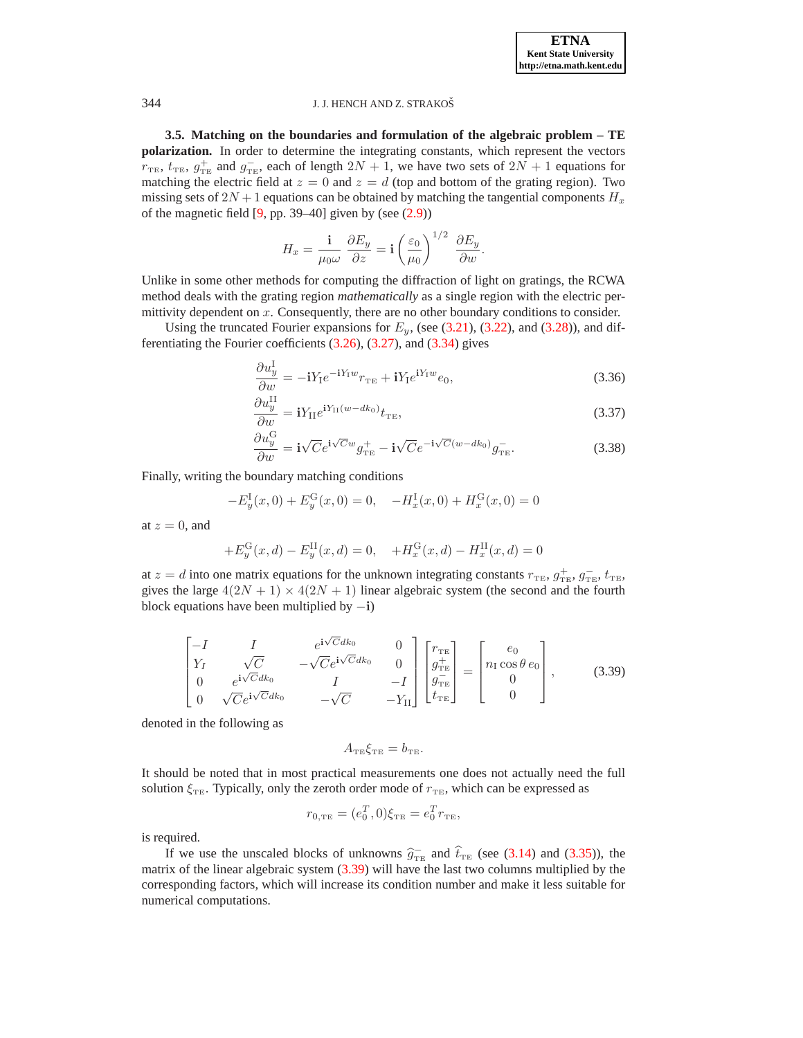**ETNA Kent State University http://etna.math.kent.edu**

### 344 J. J. HENCH AND Z. STRAKOŠ

**3.5. Matching on the boundaries and formulation of the algebraic problem – TE polarization.** In order to determine the integrating constants, which represent the vectors  $r_{\text{TE}}$ ,  $t_{\text{TE}}$ ,  $g_{\text{TE}}^+$  and  $g_{\text{TE}}^-$ , each of length  $2N + 1$ , we have two sets of  $2N + 1$  equations for matching the electric field at  $z = 0$  and  $z = d$  (top and bottom of the grating region). Two missing sets of  $2N + 1$  equations can be obtained by matching the tangential components  $H_x$ of the magnetic field  $[9, pp. 39-40]$  given by (see  $(2.9)$ )

$$
H_x = \frac{\mathbf{i}}{\mu_0 \omega} \frac{\partial E_y}{\partial z} = \mathbf{i} \left( \frac{\varepsilon_0}{\mu_0} \right)^{1/2} \frac{\partial E_y}{\partial w}.
$$

Unlike in some other methods for computing the diffraction of light on gratings, the RCWA method deals with the grating region *mathematically* as a single region with the electric permittivity dependent on  $x$ . Consequently, there are no other boundary conditions to consider.

<span id="page-13-1"></span>Using the truncated Fourier expansions for  $E_y$ , (see [\(3.21\)](#page-10-0), [\(3.22\)](#page-10-0), and [\(3.28\)](#page-11-3)), and differentiating the Fourier coefficients [\(3.26\)](#page-11-0), [\(3.27\)](#page-11-0), and [\(3.34\)](#page-12-1) gives

$$
\frac{\partial u_y^{\mathrm{I}}}{\partial w} = -iY_1e^{-iY_1w}r_{\mathrm{TE}} + iY_1e^{iY_1w}e_0,\tag{3.36}
$$

$$
\frac{\partial u_y^{\text{II}}}{\partial w} = iY_{\text{II}}e^{iY_{\text{II}}(w - dk_0)}t_{\text{TE}},\tag{3.37}
$$

$$
\frac{\partial u_y^{\rm G}}{\partial w} = \mathbf{i}\sqrt{C}e^{\mathbf{i}\sqrt{C}w}g_{\rm TE}^+ - \mathbf{i}\sqrt{C}e^{-\mathbf{i}\sqrt{C}(w-dk_0)}g_{\rm TE}^-.
$$
\n(3.38)

Finally, writing the boundary matching conditions

$$
-E_y^{\rm I}(x,0) + E_y^{\rm G}(x,0) = 0, \quad -H_x^{\rm I}(x,0) + H_x^{\rm G}(x,0) = 0
$$

at  $z = 0$ , and

$$
+E_y^{\rm G}(x,d) - E_y^{\rm II}(x,d) = 0, \quad +H_x^{\rm G}(x,d) - H_x^{\rm II}(x,d) = 0
$$

at  $z = d$  into one matrix equations for the unknown integrating constants  $r_{\text{TE}}, g_{\text{TE}}^+, g_{\text{TE}}^-, t_{\text{TE}}$ , gives the large  $4(2N + 1) \times 4(2N + 1)$  linear algebraic system (the second and the fourth block equations have been multiplied by  $-i$ )

$$
\begin{bmatrix}\n-I & I & e^{i\sqrt{C}dk_0} & 0 \\
Y_I & \sqrt{C} & -\sqrt{C}e^{i\sqrt{C}dk_0} & 0 \\
0 & e^{i\sqrt{C}dk_0} & I & -I \\
0 & \sqrt{C}e^{i\sqrt{C}dk_0} & -\sqrt{C} & -Y_{II}\n\end{bmatrix}\n\begin{bmatrix}\nr_{\text{TE}} \\
g_{\text{TE}}^+\n\end{bmatrix} =\n\begin{bmatrix}\ne_0 \\
n_I\cos\theta\,e_0 \\
0 \\
0\n\end{bmatrix},
$$
\n(3.39)

<span id="page-13-0"></span>denoted in the following as

$$
A_{\text{TE}}\xi_{\text{TE}}=b_{\text{TE}}.
$$

It should be noted that in most practical measurements one does not actually need the full solution  $\xi_{TE}$ . Typically, only the zeroth order mode of  $r_{TE}$ , which can be expressed as

$$
r_{0,\text{TE}} = (e_0^T, 0)\xi_{\text{TE}} = e_0^T r_{\text{TE}},
$$

is required.

If we use the unscaled blocks of unknowns  $\hat{g}_{TE}^-$  and  $\hat{t}_{TE}$  (see [\(3.14\)](#page-8-4) and [\(3.35\)](#page-12-2)), the matrix of the linear algebraic system [\(3.39\)](#page-13-0) will have the last two columns multiplied by the corresponding factors, which will increase its condition number and make it less suitable for numerical computations.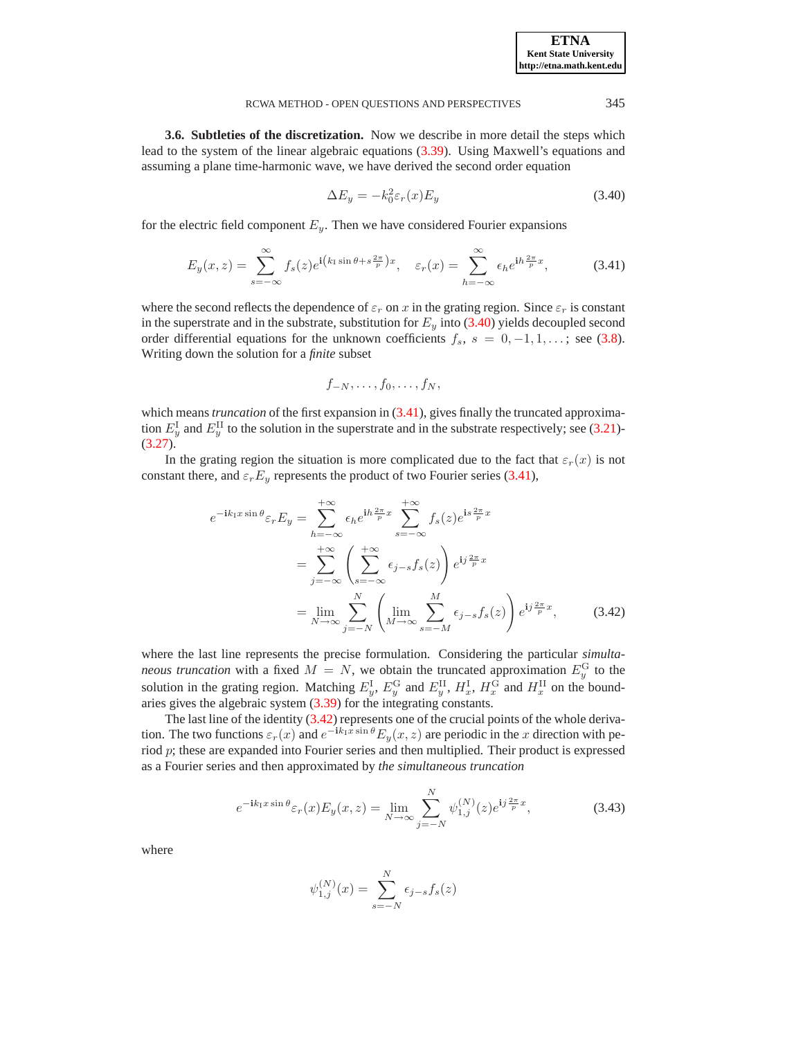| <b>ETNA</b>                  |  |
|------------------------------|--|
| <b>Kent State University</b> |  |
| http://etna.math.kent.edu    |  |

<span id="page-14-0"></span>**3.6. Subtleties of the discretization.** Now we describe in more detail the steps which lead to the system of the linear algebraic equations [\(3.39\)](#page-13-0). Using Maxwell's equations and assuming a plane time-harmonic wave, we have derived the second order equation

$$
\Delta E_y = -k_0^2 \varepsilon_r(x) E_y \tag{3.40}
$$

<span id="page-14-2"></span>for the electric field component  $E_y$ . Then we have considered Fourier expansions

<span id="page-14-1"></span>
$$
E_y(x,z) = \sum_{s=-\infty}^{\infty} f_s(z)e^{i(k_1\sin\theta + s\frac{2\pi}{p})x}, \quad \varepsilon_r(x) = \sum_{h=-\infty}^{\infty} \epsilon_h e^{ih\frac{2\pi}{p}x},
$$
(3.41)

where the second reflects the dependence of  $\varepsilon_r$  on x in the grating region. Since  $\varepsilon_r$  is constant in the superstrate and in the substrate, substitution for  $E_y$  into [\(3.40\)](#page-14-1) yields decoupled second order differential equations for the unknown coefficients  $f_s$ ,  $s = 0, -1, 1, \ldots$ ; see [\(3.8\)](#page-7-3). Writing down the solution for a *finite* subset

$$
f_{-N},\ldots,f_0,\ldots,f_N,
$$

which means *truncation* of the first expansion in [\(3.41\)](#page-14-2), gives finally the truncated approximation  $E_y^{\text{I}}$  and  $E_y^{\text{II}}$  to the solution in the superstrate and in the substrate respectively; see [\(3.21\)](#page-10-0)- $(3.27).$  $(3.27).$ 

<span id="page-14-3"></span>In the grating region the situation is more complicated due to the fact that  $\varepsilon_r(x)$  is not constant there, and  $\varepsilon_r E_y$  represents the product of two Fourier series [\(3.41\)](#page-14-2),

$$
e^{-ik_1x\sin\theta}\varepsilon_r E_y = \sum_{h=-\infty}^{+\infty} \epsilon_h e^{ih\frac{2\pi}{p}x} \sum_{s=-\infty}^{+\infty} f_s(z)e^{is\frac{2\pi}{p}x}
$$
  

$$
= \sum_{j=-\infty}^{+\infty} \left(\sum_{s=-\infty}^{+\infty} \epsilon_{j-s} f_s(z)\right) e^{ij\frac{2\pi}{p}x}
$$
  

$$
= \lim_{N \to \infty} \sum_{j=-N}^{N} \left(\lim_{M \to \infty} \sum_{s=-M}^{M} \epsilon_{j-s} f_s(z)\right) e^{ij\frac{2\pi}{p}x}, \qquad (3.42)
$$

where the last line represents the precise formulation. Considering the particular *simultaneous truncation* with a fixed  $M = N$ , we obtain the truncated approximation  $E_y^{\text{G}}$  to the solution in the grating region. Matching  $E_y^I$ ,  $E_y^G$  and  $E_y^{II}$ ,  $H_x^I$ ,  $H_x^G$  and  $H_x^{II}$  on the boundaries gives the algebraic system [\(3.39\)](#page-13-0) for the integrating constants.

<span id="page-14-4"></span>The last line of the identity [\(3.42\)](#page-14-3) represents one of the crucial points of the whole derivation. The two functions  $\varepsilon_r(x)$  and  $e^{-ik_lx\sin\theta}E_y(x,z)$  are periodic in the x direction with period  $p$ ; these are expanded into Fourier series and then multiplied. Their product is expressed as a Fourier series and then approximated by *the simultaneous truncation*

$$
e^{-ik_1x\sin\theta}\varepsilon_r(x)E_y(x,z) = \lim_{N \to \infty} \sum_{j=-N}^{N} \psi_{1,j}^{(N)}(z)e^{ij\frac{2\pi}{p}x},
$$
(3.43)

$$
\psi_{1,j}^{(N)}(x) = \sum_{s=-N}^{N} \epsilon_{j-s} f_s(z)
$$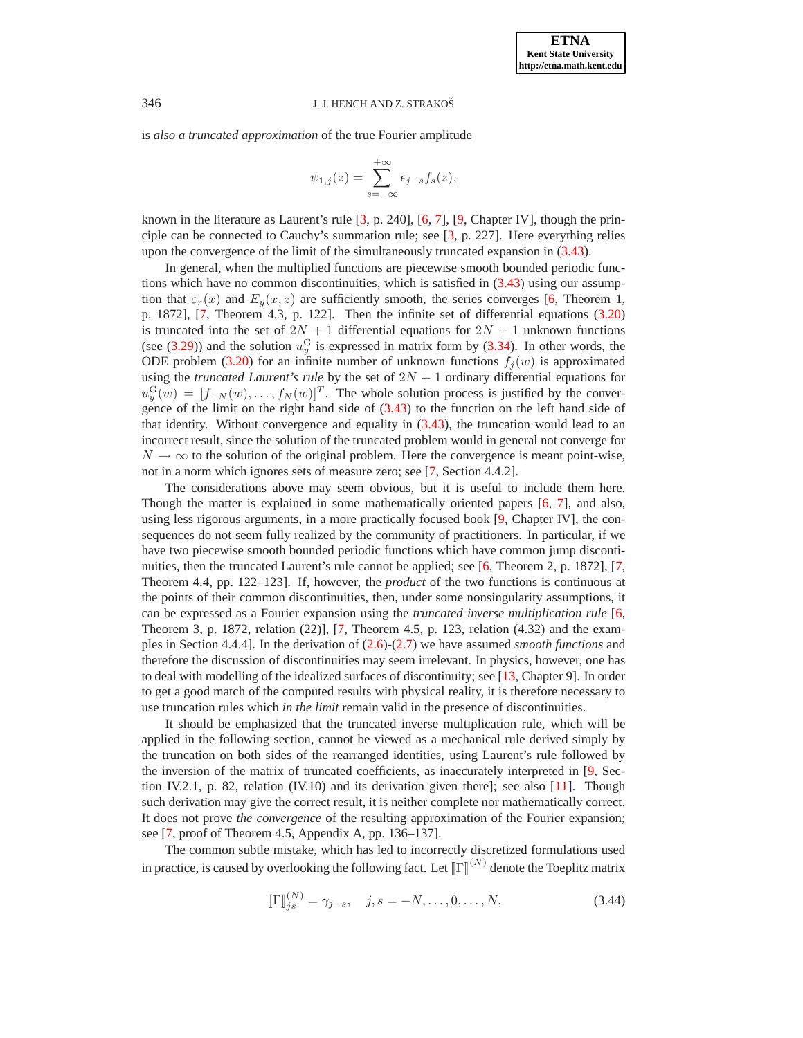is *also a truncated approximation* of the true Fourier amplitude

$$
\psi_{1,j}(z) = \sum_{s=-\infty}^{+\infty} \epsilon_{j-s} f_s(z),
$$

known in the literature as Laurent's rule [\[3,](#page-26-8) p. 240], [\[6,](#page-26-2) [7\]](#page-26-3), [\[9,](#page-26-0) Chapter IV], though the principle can be connected to Cauchy's summation rule; see [\[3,](#page-26-8) p. 227]. Here everything relies upon the convergence of the limit of the simultaneously truncated expansion in [\(3.43\)](#page-14-4).

In general, when the multiplied functions are piecewise smooth bounded periodic functions which have no common discontinuities, which is satisfied in [\(3.43\)](#page-14-4) using our assumption that  $\varepsilon_r(x)$  and  $E_y(x, z)$  are sufficiently smooth, the series converges [\[6,](#page-26-2) Theorem 1, p. 1872], [\[7,](#page-26-3) Theorem 4.3, p. 122]. Then the infinite set of differential equations [\(3.20\)](#page-9-1) is truncated into the set of  $2N + 1$  differential equations for  $2N + 1$  unknown functions (see [\(3.29\)](#page-11-1)) and the solution  $u_y^G$  is expressed in matrix form by [\(3.34\)](#page-12-1). In other words, the ODE problem [\(3.20\)](#page-9-1) for an infinite number of unknown functions  $f_i(w)$  is approximated using the *truncated Laurent's rule* by the set of  $2N + 1$  ordinary differential equations for  $u_y^{\text{G}}(w) = [f_{-N}(w), \dots, f_{N}(w)]^T$ . The whole solution process is justified by the convergence of the limit on the right hand side of [\(3.43\)](#page-14-4) to the function on the left hand side of that identity. Without convergence and equality in  $(3.43)$ , the truncation would lead to an incorrect result, since the solution of the truncated problem would in general not converge for  $N \to \infty$  to the solution of the original problem. Here the convergence is meant point-wise, not in a norm which ignores sets of measure zero; see [\[7,](#page-26-3) Section 4.4.2].

The considerations above may seem obvious, but it is useful to include them here. Though the matter is explained in some mathematically oriented papers [\[6,](#page-26-2) [7\]](#page-26-3), and also, using less rigorous arguments, in a more practically focused book [\[9,](#page-26-0) Chapter IV], the consequences do not seem fully realized by the community of practitioners. In particular, if we have two piecewise smooth bounded periodic functions which have common jump disconti-nuities, then the truncated Laurent's rule cannot be applied; see [\[6,](#page-26-2) Theorem 2, p. 1872], [\[7,](#page-26-3) Theorem 4.4, pp. 122–123]. If, however, the *product* of the two functions is continuous at the points of their common discontinuities, then, under some nonsingularity assumptions, it can be expressed as a Fourier expansion using the *truncated inverse multiplication rule* [\[6,](#page-26-2) Theorem 3, p. 1872, relation (22)], [\[7,](#page-26-3) Theorem 4.5, p. 123, relation (4.32) and the examples in Section 4.4.4]. In the derivation of [\(2.6\)](#page-2-1)-[\(2.7\)](#page-2-1) we have assumed *smooth functions* and therefore the discussion of discontinuities may seem irrelevant. In physics, however, one has to deal with modelling of the idealized surfaces of discontinuity; see [\[13,](#page-26-5) Chapter 9]. In order to get a good match of the computed results with physical reality, it is therefore necessary to use truncation rules which *in the limit* remain valid in the presence of discontinuities.

It should be emphasized that the truncated inverse multiplication rule, which will be applied in the following section, cannot be viewed as a mechanical rule derived simply by the truncation on both sides of the rearranged identities, using Laurent's rule followed by the inversion of the matrix of truncated coefficients, as inaccurately interpreted in [\[9,](#page-26-0) Section IV.2.1, p. 82, relation (IV.10) and its derivation given there]; see also [\[11\]](#page-26-9). Though such derivation may give the correct result, it is neither complete nor mathematically correct. It does not prove *the convergence* of the resulting approximation of the Fourier expansion; see [\[7,](#page-26-3) proof of Theorem 4.5, Appendix A, pp. 136–137].

<span id="page-15-0"></span>The common subtle mistake, which has led to incorrectly discretized formulations used in practice, is caused by overlooking the following fact. Let  $\llbracket \Gamma \rrbracket^{(N)}$  denote the Toeplitz matrix

$$
\llbracket \Gamma \rrbracket_{js}^{(N)} = \gamma_{j-s}, \quad j, s = -N, \dots, 0, \dots, N,
$$
\n(3.44)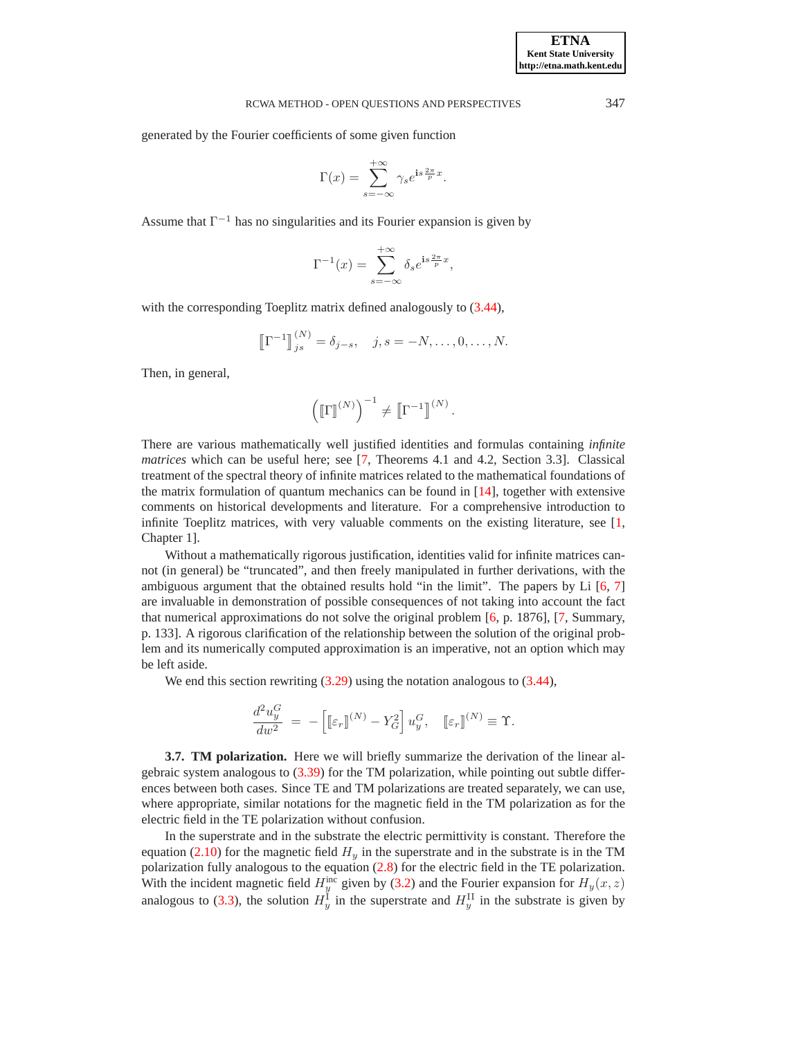generated by the Fourier coefficients of some given function

$$
\Gamma(x) = \sum_{s=-\infty}^{+\infty} \gamma_s e^{is\frac{2\pi}{p}x}.
$$

Assume that  $\Gamma^{-1}$  has no singularities and its Fourier expansion is given by

$$
\Gamma^{-1}(x) = \sum_{s=-\infty}^{+\infty} \delta_s e^{\mathbf{i}s \frac{2\pi}{p}x},
$$

with the corresponding Toeplitz matrix defined analogously to  $(3.44)$ ,

$$
\left[\!\left[ \Gamma^{-1} \right]\!\right]_{js}^{(N)} = \delta_{j-s}, \quad j, s = -N, \dots, 0, \dots, N.
$$

Then, in general,

$$
\left(\llbracket \Gamma \rrbracket^{(N)}\right)^{-1} \neq \llbracket \Gamma^{-1} \rrbracket^{(N)}\,.
$$

There are various mathematically well justified identities and formulas containing *infinite matrices* which can be useful here; see [\[7,](#page-26-3) Theorems 4.1 and 4.2, Section 3.3]. Classical treatment of the spectral theory of infinite matrices related to the mathematical foundations of the matrix formulation of quantum mechanics can be found in [\[14\]](#page-26-10), together with extensive comments on historical developments and literature. For a comprehensive introduction to infinite Toeplitz matrices, with very valuable comments on the existing literature, see [\[1,](#page-26-11) Chapter 1].

Without a mathematically rigorous justification, identities valid for infinite matrices cannot (in general) be "truncated", and then freely manipulated in further derivations, with the ambiguous argument that the obtained results hold "in the limit". The papers by Li [\[6,](#page-26-2) [7\]](#page-26-3) are invaluable in demonstration of possible consequences of not taking into account the fact that numerical approximations do not solve the original problem [\[6,](#page-26-2) p. 1876], [\[7,](#page-26-3) Summary, p. 133]. A rigorous clarification of the relationship between the solution of the original problem and its numerically computed approximation is an imperative, not an option which may be left aside.

We end this section rewriting  $(3.29)$  using the notation analogous to  $(3.44)$ ,

$$
\frac{d^2 u_y^G}{d w^2} = - \left[ \left[ \varepsilon_r \right]^{(N)} - Y_G^2 \right] u_y^G, \quad \left[ \varepsilon_r \right]^{(N)} \equiv \Upsilon.
$$

**3.7. TM polarization.** Here we will briefly summarize the derivation of the linear algebraic system analogous to [\(3.39\)](#page-13-0) for the TM polarization, while pointing out subtle differences between both cases. Since TE and TM polarizations are treated separately, we can use, where appropriate, similar notations for the magnetic field in the TM polarization as for the electric field in the TE polarization without confusion.

In the superstrate and in the substrate the electric permittivity is constant. Therefore the equation [\(2.10\)](#page-4-2) for the magnetic field  $H_y$  in the superstrate and in the substrate is in the TM polarization fully analogous to the equation [\(2.8\)](#page-4-1) for the electric field in the TE polarization. With the incident magnetic field  $H_y^{\text{inc}}$  given by [\(3.2\)](#page-5-3) and the Fourier expansion for  $H_y(x, z)$ analogous to [\(3.3\)](#page-6-3), the solution  $H_y^{\text{I}}$  in the superstrate and  $H_y^{\text{II}}$  in the substrate is given by

**ETNA Kent State University http://etna.math.kent.edu**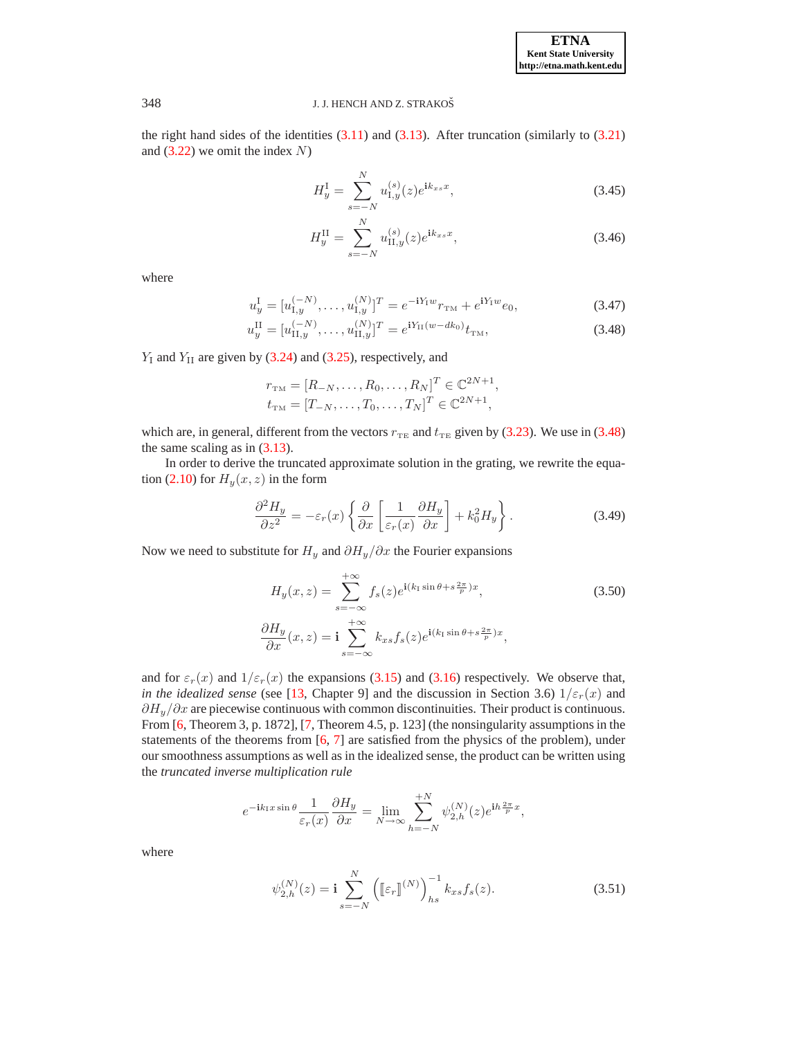**ETNA Kent State University http://etna.math.kent.edu**

### 348 J. J. HENCH AND Z. STRAKOŠ

<span id="page-17-4"></span>the right hand sides of the identities  $(3.11)$  and  $(3.13)$ . After truncation (similarly to  $(3.21)$ ) and  $(3.22)$  we omit the index N)

$$
H_y^{\text{I}} = \sum_{s=-N}^{N} u_{\text{I},y}^{(s)}(z) e^{\mathbf{i}k_{xs}x},\tag{3.45}
$$

$$
H_y^{\text{II}} = \sum_{s=-N}^{N} u_{\text{II},y}^{(s)}(z) e^{\mathbf{i}k_{xs}x},\tag{3.46}
$$

<span id="page-17-0"></span>where

$$
u_y^{\mathrm{I}} = [u_{1,y}^{(-N)}, \dots, u_{1,y}^{(N)}]^T = e^{-iY_1w} r_{\mathrm{TM}} + e^{iY_1w} e_0,\tag{3.47}
$$

$$
u_y^{\text{II}} = [u_{\text{II},y}^{(-N)}, \dots, u_{\text{II},y}^{(N)}]^T = e^{iY_{\text{II}}(w - dk_0)} t_{\text{TM}},
$$
\n(3.48)

 $Y_I$  and  $Y_{II}$  are given by [\(3.24\)](#page-10-1) and [\(3.25\)](#page-10-1), respectively, and

$$
r_{\text{TM}} = [R_{-N}, \dots, R_0, \dots, R_N]^T \in \mathbb{C}^{2N+1},
$$
  
\n
$$
t_{\text{TM}} = [T_{-N}, \dots, T_0, \dots, T_N]^T \in \mathbb{C}^{2N+1},
$$

which are, in general, different from the vectors  $r_{TE}$  and  $t_{TE}$  given by [\(3.23\)](#page-10-2). We use in [\(3.48\)](#page-17-0) the same scaling as in  $(3.13)$ .

In order to derive the truncated approximate solution in the grating, we rewrite the equa-tion [\(2.10\)](#page-4-2) for  $H_y(x, z)$  in the form

$$
\frac{\partial^2 H_y}{\partial z^2} = -\varepsilon_r(x) \left\{ \frac{\partial}{\partial x} \left[ \frac{1}{\varepsilon_r(x)} \frac{\partial H_y}{\partial x} \right] + k_0^2 H_y \right\}.
$$
 (3.49)

<span id="page-17-2"></span><span id="page-17-1"></span>Now we need to substitute for  $H_y$  and  $\partial H_y / \partial x$  the Fourier expansions

$$
H_y(x, z) = \sum_{s = -\infty}^{+\infty} f_s(z) e^{\mathbf{i}(k_1 \sin \theta + s \frac{2\pi}{p})x},
$$
\n
$$
\frac{\partial H_y}{\partial x}(x, z) = \mathbf{i} \sum_{s = -\infty}^{+\infty} k_{xs} f_s(z) e^{\mathbf{i}(k_1 \sin \theta + s \frac{2\pi}{p})x},
$$
\n(3.50)

and for  $\varepsilon_r(x)$  and  $1/\varepsilon_r(x)$  the expansions [\(3.15\)](#page-8-1) and [\(3.16\)](#page-8-5) respectively. We observe that, *in the idealized sense* (see [\[13,](#page-26-5) Chapter 9] and the discussion in Section 3.6)  $1/\varepsilon_r(x)$  and  $\partial H_y/\partial x$  are piecewise continuous with common discontinuities. Their product is continuous. From [\[6,](#page-26-2) Theorem 3, p. 1872], [\[7,](#page-26-3) Theorem 4.5, p. 123] (the nonsingularity assumptions in the statements of the theorems from [\[6,](#page-26-2) [7\]](#page-26-3) are satisfied from the physics of the problem), under our smoothness assumptions as well as in the idealized sense, the product can be written using the *truncated inverse multiplication rule*

$$
e^{-{\bf i} k_{\rm I} x\sin\theta}\frac{1}{\varepsilon_r(x)}\frac{\partial H_y}{\partial x}=\lim_{N\to\infty}\sum_{h=-N}^{+N}\psi_{2,h}^{(N)}(z)e^{{\bf i} h\frac{2\pi}{p}x},
$$

<span id="page-17-3"></span>
$$
\psi_{2,h}^{(N)}(z) = \mathbf{i} \sum_{s=-N}^{N} \left( [\![\varepsilon_r \!]^{(N)} \right)_{hs}^{-1} k_{xs} f_s(z). \tag{3.51}
$$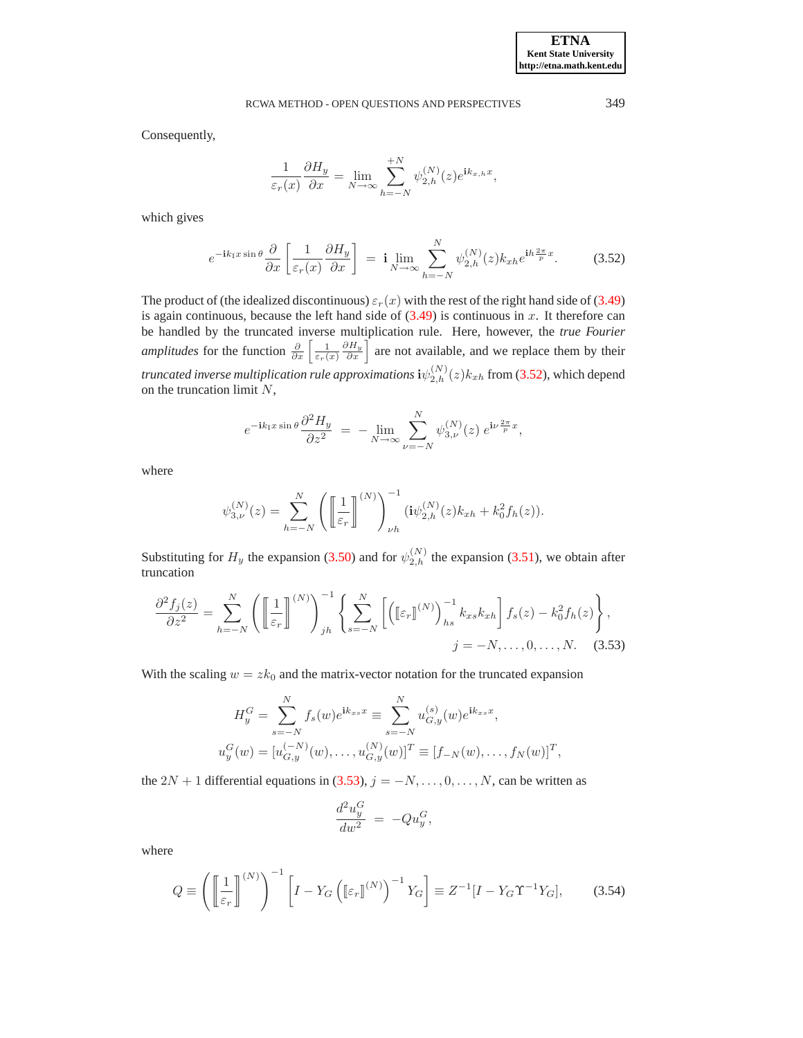Consequently,

$$
\frac{1}{\varepsilon_r(x)} \frac{\partial H_y}{\partial x} = \lim_{N \to \infty} \sum_{h=-N}^{+N} \psi_{2,h}^{(N)}(z) e^{ik_{x,h}x},
$$

<span id="page-18-0"></span>which gives

$$
e^{-ik_1x\sin\theta}\frac{\partial}{\partial x}\left[\frac{1}{\varepsilon_r(x)}\frac{\partial H_y}{\partial x}\right] = \mathbf{i}\lim_{N\to\infty}\sum_{h=-N}^N\psi_{2,h}^{(N)}(z)k_{xh}e^{\mathbf{i}h\frac{2\pi}{p}x}.\tag{3.52}
$$

The product of (the idealized discontinuous)  $\varepsilon_r(x)$  with the rest of the right hand side of [\(3.49\)](#page-17-1) is again continuous, because the left hand side of  $(3.49)$  is continuous in x. It therefore can be handled by the truncated inverse multiplication rule. Here, however, the *true Fourier amplitudes* for the function  $\frac{\partial}{\partial x} \left[ \frac{1}{\varepsilon_r(x)} \right]$  $\frac{\partial H_y}{\partial x}$  are not available, and we replace them by their *truncated inverse multiplication rule approximations*  $\mathrm{i}\psi_{2,h}^{(N)}(z) k_{xh}$  from [\(3.52\)](#page-18-0), which depend on the truncation limit  $N$ ,

$$
e^{-ik_1x\sin\theta}\frac{\partial^2 H_y}{\partial z^2} = -\lim_{N \to \infty} \sum_{\nu=-N}^N \psi_{3,\nu}^{(N)}(z) e^{i\nu\frac{2\pi}{p}x},
$$

where

$$
\psi_{3,\nu}^{(N)}(z) = \sum_{h=-N}^{N} \left( \left[ \frac{1}{\varepsilon_r} \right]^{(N)} \right)_{\nu h}^{-1} (\mathrm{i} \psi_{2,h}^{(N)}(z) k_{xh} + k_0^2 f_h(z)).
$$

Substituting for  $H_y$  the expansion [\(3.50\)](#page-17-2) and for  $\psi_{2,h}^{(N)}$  the expansion [\(3.51\)](#page-17-3), we obtain after truncation

<span id="page-18-1"></span>
$$
\frac{\partial^2 f_j(z)}{\partial z^2} = \sum_{h=-N}^N \left( \left[ \frac{1}{\varepsilon_r} \right]^{(N)} \right)_{jh}^{-1} \left\{ \sum_{s=-N}^N \left[ \left( \left[ \varepsilon_r \right]^{(N)} \right)_{hs}^{-1} k_{xs} k_{xh} \right] f_s(z) - k_0^2 f_h(z) \right\},
$$
\n
$$
j = -N, \dots, 0, \dots, N. \quad (3.53)
$$

With the scaling  $w = zk_0$  and the matrix-vector notation for the truncated expansion

$$
H_y^G = \sum_{s=-N}^N f_s(w)e^{ik_{xs}x} \equiv \sum_{s=-N}^N u_{G,y}^{(s)}(w)e^{ik_{xs}x},
$$
  

$$
u_y^G(w) = [u_{G,y}^{(-N)}(w), \dots, u_{G,y}^{(N)}(w)]^T \equiv [f_{-N}(w), \dots, f_N(w)]^T,
$$

the 2N + 1 differential equations in  $(3.53)$ ,  $j = -N, \ldots, 0, \ldots, N$ , can be written as

$$
\frac{d^2 u_y^G}{d w^2} = -Q u_y^G,
$$

<span id="page-18-2"></span>
$$
Q \equiv \left( \left[ \frac{1}{\varepsilon_r} \right]^{(N)} \right)^{-1} \left[ I - Y_G \left( \left[ \varepsilon_r \right]^{(N)} \right)^{-1} Y_G \right] \equiv Z^{-1} [I - Y_G \Upsilon^{-1} Y_G], \tag{3.54}
$$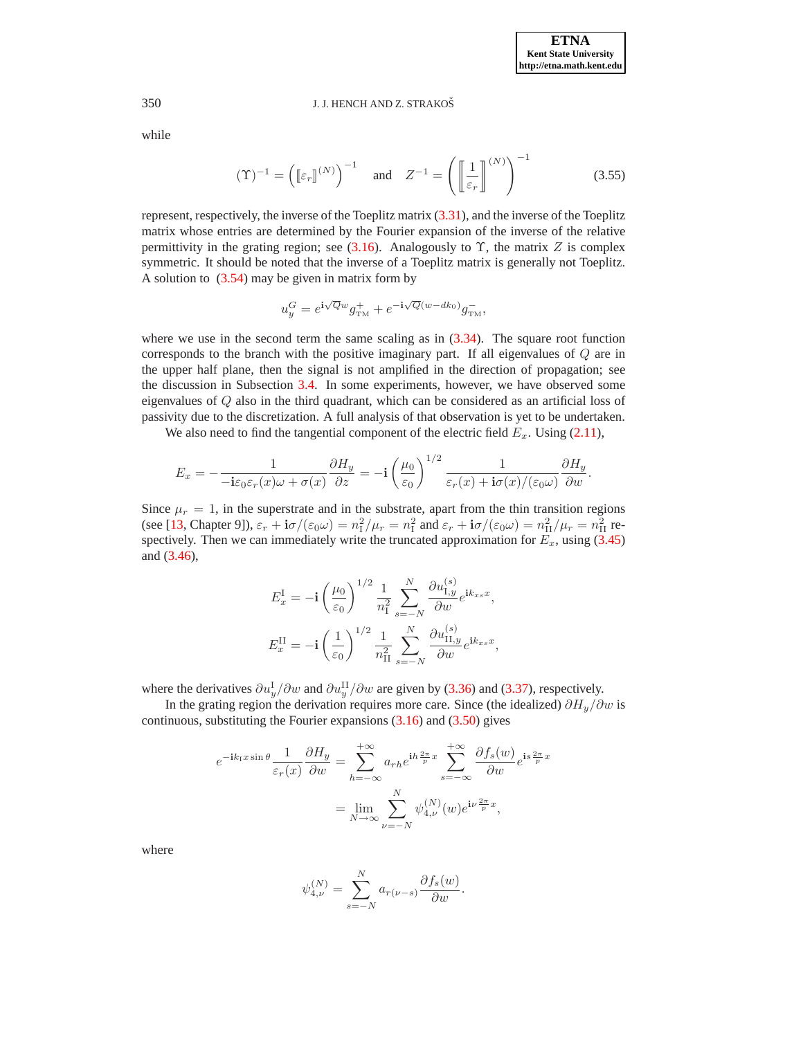<span id="page-19-0"></span>while

$$
(\Upsilon)^{-1} = \left( \left[ \varepsilon_r \right]^{(N)} \right)^{-1} \quad \text{and} \quad Z^{-1} = \left( \left[ \frac{1}{\varepsilon_r} \right]^{(N)} \right)^{-1} \tag{3.55}
$$

represent, respectively, the inverse of the Toeplitz matrix [\(3.31\)](#page-11-4), and the inverse of the Toeplitz matrix whose entries are determined by the Fourier expansion of the inverse of the relative permittivity in the grating region; see [\(3.16\)](#page-8-5). Analogously to  $\Upsilon$ , the matrix Z is complex symmetric. It should be noted that the inverse of a Toeplitz matrix is generally not Toeplitz. A solution to  $(3.54)$  may be given in matrix form by

$$
u_y^G = e^{\mathbf{i}\sqrt{Q}w}g_{\text{TM}}^+ + e^{-\mathbf{i}\sqrt{Q}(w-dk_0)}g_{\text{TM}}^-
$$

where we use in the second term the same scaling as in  $(3.34)$ . The square root function corresponds to the branch with the positive imaginary part. If all eigenvalues of Q are in the upper half plane, then the signal is not amplified in the direction of propagation; see the discussion in Subsection [3.4.](#page-9-2) In some experiments, however, we have observed some eigenvalues of  $Q$  also in the third quadrant, which can be considered as an artificial loss of passivity due to the discretization. A full analysis of that observation is yet to be undertaken.

We also need to find the tangential component of the electric field  $E_x$ . Using [\(2.11\)](#page-5-1),

$$
E_x = -\frac{1}{-\mathbf{i}\varepsilon_0\varepsilon_r(x)\omega + \sigma(x)}\frac{\partial H_y}{\partial z} = -\mathbf{i}\left(\frac{\mu_0}{\varepsilon_0}\right)^{1/2}\frac{1}{\varepsilon_r(x) + \mathbf{i}\sigma(x)/(\varepsilon_0\omega)}\frac{\partial H_y}{\partial w}.
$$

Since  $\mu_r = 1$ , in the superstrate and in the substrate, apart from the thin transition regions (see [\[13,](#page-26-5) Chapter 9]),  $\varepsilon_r + i\sigma/(\varepsilon_0\omega) = n_1^2/\mu_r = n_1^2$  and  $\varepsilon_r + i\sigma/(\varepsilon_0\omega) = n_{\text{II}}^2/\mu_r = n_{\text{II}}^2$  respectively. Then we can immediately write the truncated approximation for  $E_x$ , using [\(3.45\)](#page-17-4) and [\(3.46\)](#page-17-4),

$$
E_x^{\text{I}} = -\mathbf{i} \left(\frac{\mu_0}{\varepsilon_0}\right)^{1/2} \frac{1}{n_1^2} \sum_{s=-N}^N \frac{\partial u_{1,y}^{(s)}}{\partial w} e^{\mathbf{i}k_{xs}x},
$$
  

$$
E_x^{\text{II}} = -\mathbf{i} \left(\frac{1}{\varepsilon_0}\right)^{1/2} \frac{1}{n_{\text{II}}^2} \sum_{s=-N}^N \frac{\partial u_{1,y}^{(s)}}{\partial w} e^{\mathbf{i}k_{xs}x},
$$

where the derivatives  $\partial u_y^{\rm I}/\partial w$  and  $\partial u_y^{\rm II}/\partial w$  are given by [\(3.36\)](#page-13-1) and [\(3.37\)](#page-13-1), respectively.

In the grating region the derivation requires more care. Since (the idealized)  $\partial H_y/\partial w$  is continuous, substituting the Fourier expansions [\(3.16\)](#page-8-5) and [\(3.50\)](#page-17-2) gives

$$
e^{-ik\Gamma x \sin \theta} \frac{1}{\varepsilon_r(x)} \frac{\partial H_y}{\partial w} = \sum_{h=-\infty}^{+\infty} a_{rh} e^{ih\frac{2\pi}{p}x} \sum_{s=-\infty}^{+\infty} \frac{\partial f_s(w)}{\partial w} e^{is\frac{2\pi}{p}x}
$$

$$
= \lim_{N \to \infty} \sum_{\nu=-N}^{N} \psi_{4,\nu}^{(N)}(w) e^{i\nu \frac{2\pi}{p}x},
$$

$$
\psi_{4,\nu}^{(N)} = \sum_{s=-N}^{N} a_{r(\nu-s)} \frac{\partial f_s(w)}{\partial w}.
$$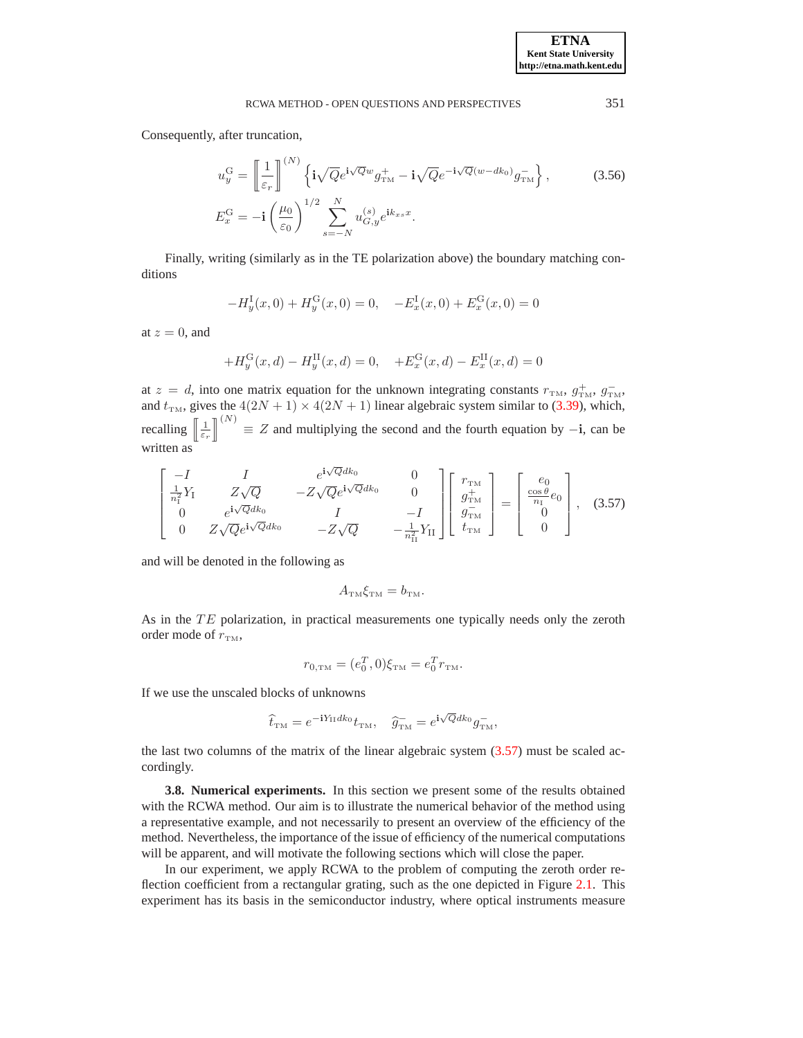<span id="page-20-1"></span>Consequently, after truncation,

$$
u_y^{\mathcal{G}} = \left[ \frac{1}{\varepsilon_r} \right]^{(N)} \left\{ \mathbf{i} \sqrt{Q} e^{\mathbf{i} \sqrt{Q} w} g_{\text{TM}}^+ - \mathbf{i} \sqrt{Q} e^{-\mathbf{i} \sqrt{Q} (w - d k_0)} g_{\text{TM}}^- \right\},\tag{3.56}
$$

$$
E_x^{\mathcal{G}} = -\mathbf{i} \left( \frac{\mu_0}{\varepsilon_0} \right)^{1/2} \sum_{s=-N}^N u_{G,y}^{(s)} e^{\mathbf{i} k_{xs} x}.
$$

Finally, writing (similarly as in the TE polarization above) the boundary matching conditions

$$
-H_y^{\rm I}(x,0) + H_y^{\rm G}(x,0) = 0, \quad -E_x^{\rm I}(x,0) + E_x^{\rm G}(x,0) = 0
$$

at  $z = 0$ , and

$$
+H_y^{\rm G}(x,d) - H_y^{\rm H}(x,d) = 0, \quad +E_x^{\rm G}(x,d) - E_x^{\rm H}(x,d) = 0
$$

at  $z = d$ , into one matrix equation for the unknown integrating constants  $r_{TM}$ ,  $g_{TM}^+$ ,  $g_{TM}^$ and  $t_{\text{TM}}$ , gives the  $4(2N + 1) \times 4(2N + 1)$  linear algebraic system similar to [\(3.39\)](#page-13-0), which, recalling  $\left[\frac{1}{\varepsilon_r}\right]$  $\int_{0}^{(N)}$   $\equiv$  Z and multiplying the second and the fourth equation by −i, can be written as

$$
\begin{bmatrix}\n-I & I & e^{i\sqrt{Q}dk_0} & 0 \\
\frac{1}{n_1^2}Y_1 & Z\sqrt{Q} & -Z\sqrt{Q}e^{i\sqrt{Q}dk_0} & 0 \\
0 & e^{i\sqrt{Q}dk_0} & I & -I \\
0 & Z\sqrt{Q}e^{i\sqrt{Q}dk_0} & -Z\sqrt{Q} & -\frac{1}{n_1^2}Y_{II}\n\end{bmatrix}\n\begin{bmatrix}\nr_{\text{TM}} \\
g_{\text{TM}}^-\n\end{bmatrix} =\n\begin{bmatrix}\ne_0 \\
\frac{\cos\theta}{n_1}e_0 \\
0 \\
0\n\end{bmatrix},
$$
\n(3.57)

<span id="page-20-0"></span>and will be denoted in the following as

$$
A_{\text{TM}}\xi_{\text{TM}}=b_{\text{TM}}.
$$

As in the TE polarization, in practical measurements one typically needs only the zeroth order mode of  $r_{\text{TM}}$ ,

$$
r_{0,\text{TM}} = (e_0^T, 0)\xi_{\text{TM}} = e_0^T r_{\text{TM}}.
$$

If we use the unscaled blocks of unknowns

$$
\widehat{t}_{\text{TM}} = e^{-iY_{\text{II}}dk_0}t_{\text{TM}}, \quad \widehat{g}_{\text{TM}} = e^{i\sqrt{Q}dk_0}g_{\text{TM}}^-,
$$

the last two columns of the matrix of the linear algebraic system [\(3.57\)](#page-20-0) must be scaled accordingly.

**3.8. Numerical experiments.** In this section we present some of the results obtained with the RCWA method. Our aim is to illustrate the numerical behavior of the method using a representative example, and not necessarily to present an overview of the efficiency of the method. Nevertheless, the importance of the issue of efficiency of the numerical computations will be apparent, and will motivate the following sections which will close the paper.

In our experiment, we apply RCWA to the problem of computing the zeroth order reflection coefficient from a rectangular grating, such as the one depicted in Figure [2.1.](#page-3-0) This experiment has its basis in the semiconductor industry, where optical instruments measure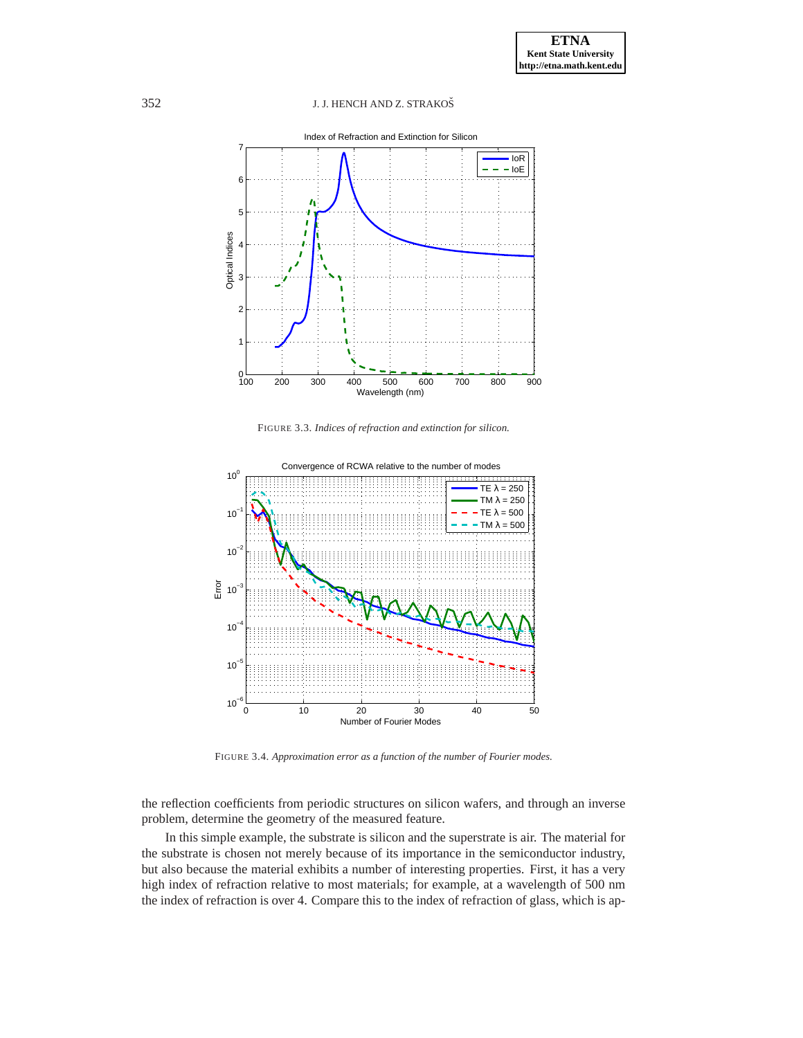

FIGURE 3.3. *Indices of refraction and extinction for silicon.*

<span id="page-21-0"></span>

<span id="page-21-1"></span>FIGURE 3.4. *Approximation error as a function of the number of Fourier modes.*

the reflection coefficients from periodic structures on silicon wafers, and through an inverse problem, determine the geometry of the measured feature.

In this simple example, the substrate is silicon and the superstrate is air. The material for the substrate is chosen not merely because of its importance in the semiconductor industry, but also because the material exhibits a number of interesting properties. First, it has a very high index of refraction relative to most materials; for example, at a wavelength of 500 nm the index of refraction is over 4. Compare this to the index of refraction of glass, which is ap-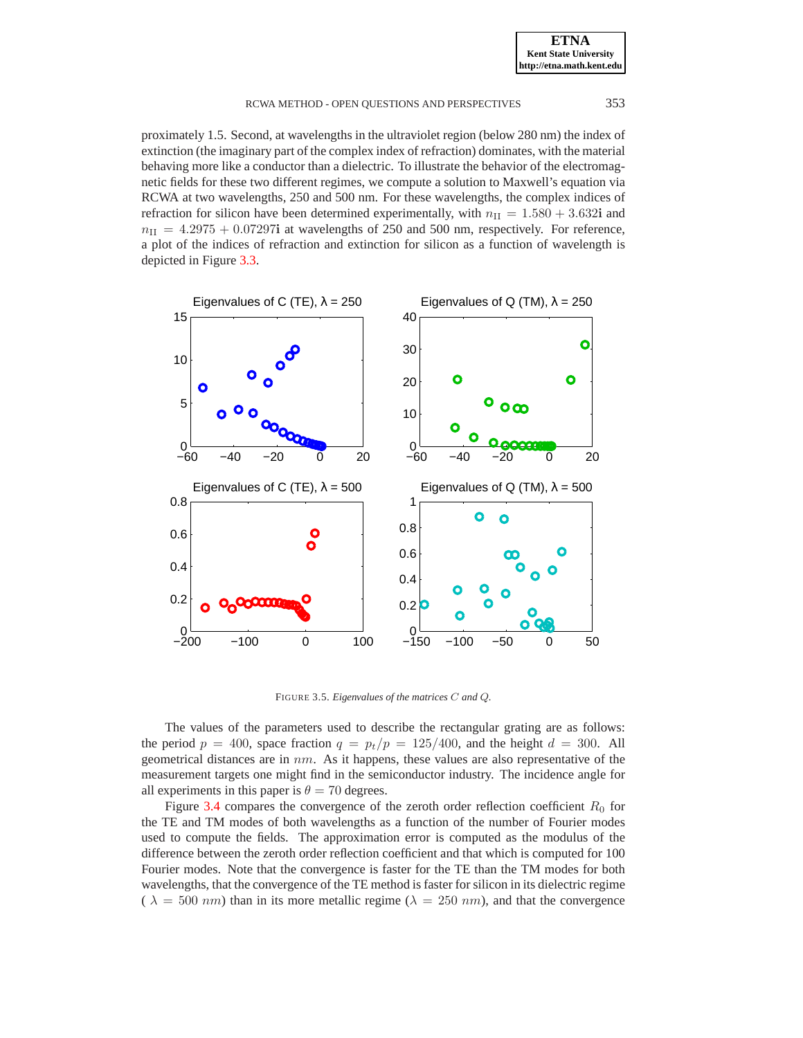proximately 1.5. Second, at wavelengths in the ultraviolet region (below 280 nm) the index of extinction (the imaginary part of the complex index of refraction) dominates, with the material behaving more like a conductor than a dielectric. To illustrate the behavior of the electromagnetic fields for these two different regimes, we compute a solution to Maxwell's equation via RCWA at two wavelengths, 250 and 500 nm. For these wavelengths, the complex indices of refraction for silicon have been determined experimentally, with  $n_{\text{II}} = 1.580 + 3.632i$  and  $n_{\text{II}} = 4.2975 + 0.07297$ i at wavelengths of 250 and 500 nm, respectively. For reference, a plot of the indices of refraction and extinction for silicon as a function of wavelength is depicted in Figure [3.3.](#page-21-0)



<span id="page-22-0"></span>FIGURE 3.5. *Eigenvalues of the matrices* C *and* Q*.*

The values of the parameters used to describe the rectangular grating are as follows: the period  $p = 400$ , space fraction  $q = p_t/p = 125/400$ , and the height  $d = 300$ . All geometrical distances are in  $nm$ . As it happens, these values are also representative of the measurement targets one might find in the semiconductor industry. The incidence angle for all experiments in this paper is  $\theta = 70$  degrees.

Figure [3.4](#page-21-1) compares the convergence of the zeroth order reflection coefficient  $R_0$  for the TE and TM modes of both wavelengths as a function of the number of Fourier modes used to compute the fields. The approximation error is computed as the modulus of the difference between the zeroth order reflection coefficient and that which is computed for 100 Fourier modes. Note that the convergence is faster for the TE than the TM modes for both wavelengths, that the convergence of the TE method is faster for silicon in its dielectric regime (  $\lambda = 500 \ nm$ ) than in its more metallic regime ( $\lambda = 250 \ nm$ ), and that the convergence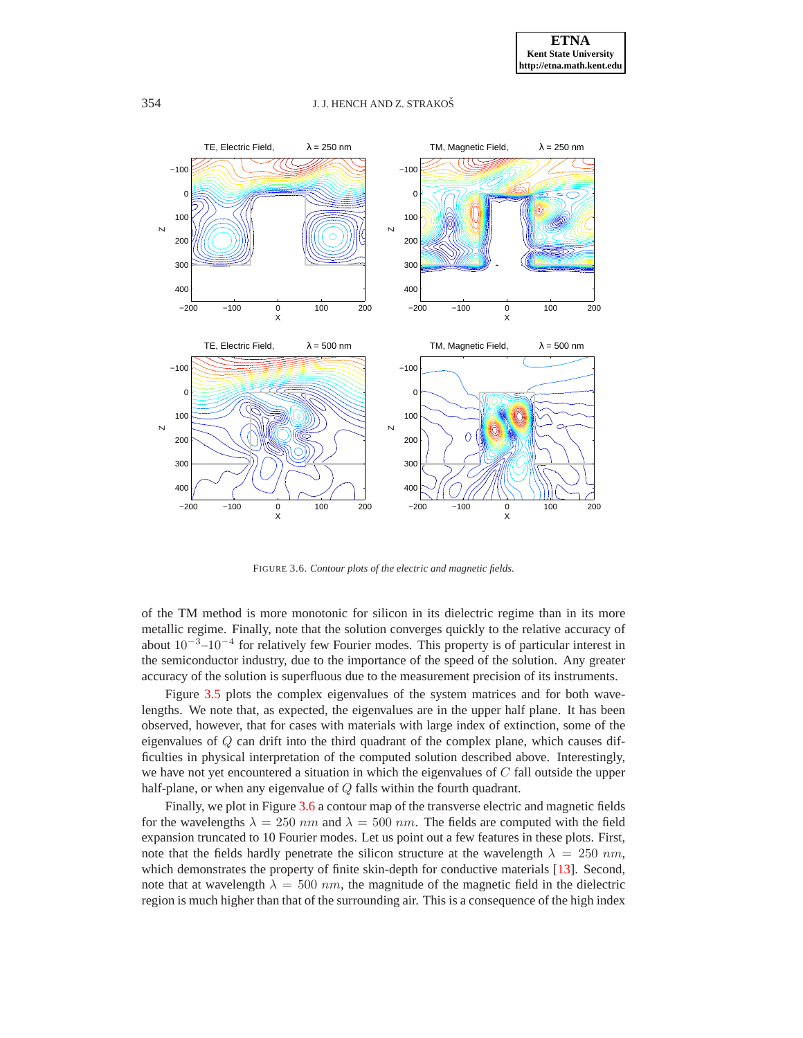

<span id="page-23-0"></span>FIGURE 3.6. *Contour plots of the electric and magnetic fields.*

of the TM method is more monotonic for silicon in its dielectric regime than in its more metallic regime. Finally, note that the solution converges quickly to the relative accuracy of about  $10^{-3}$ – $10^{-4}$  for relatively few Fourier modes. This property is of particular interest in the semiconductor industry, due to the importance of the speed of the solution. Any greater accuracy of the solution is superfluous due to the measurement precision of its instruments.

Figure [3.5](#page-22-0) plots the complex eigenvalues of the system matrices and for both wavelengths. We note that, as expected, the eigenvalues are in the upper half plane. It has been observed, however, that for cases with materials with large index of extinction, some of the eigenvalues of Q can drift into the third quadrant of the complex plane, which causes difficulties in physical interpretation of the computed solution described above. Interestingly, we have not yet encountered a situation in which the eigenvalues of  $C$  fall outside the upper half-plane, or when any eigenvalue of Q falls within the fourth quadrant.

Finally, we plot in Figure [3.6](#page-23-0) a contour map of the transverse electric and magnetic fields for the wavelengths  $\lambda = 250$  nm and  $\lambda = 500$  nm. The fields are computed with the field expansion truncated to 10 Fourier modes. Let us point out a few features in these plots. First, note that the fields hardly penetrate the silicon structure at the wavelength  $\lambda = 250$  nm, which demonstrates the property of finite skin-depth for conductive materials [\[13\]](#page-26-5). Second, note that at wavelength  $\lambda = 500$  nm, the magnitude of the magnetic field in the dielectric region is much higher than that of the surrounding air. This is a consequence of the high index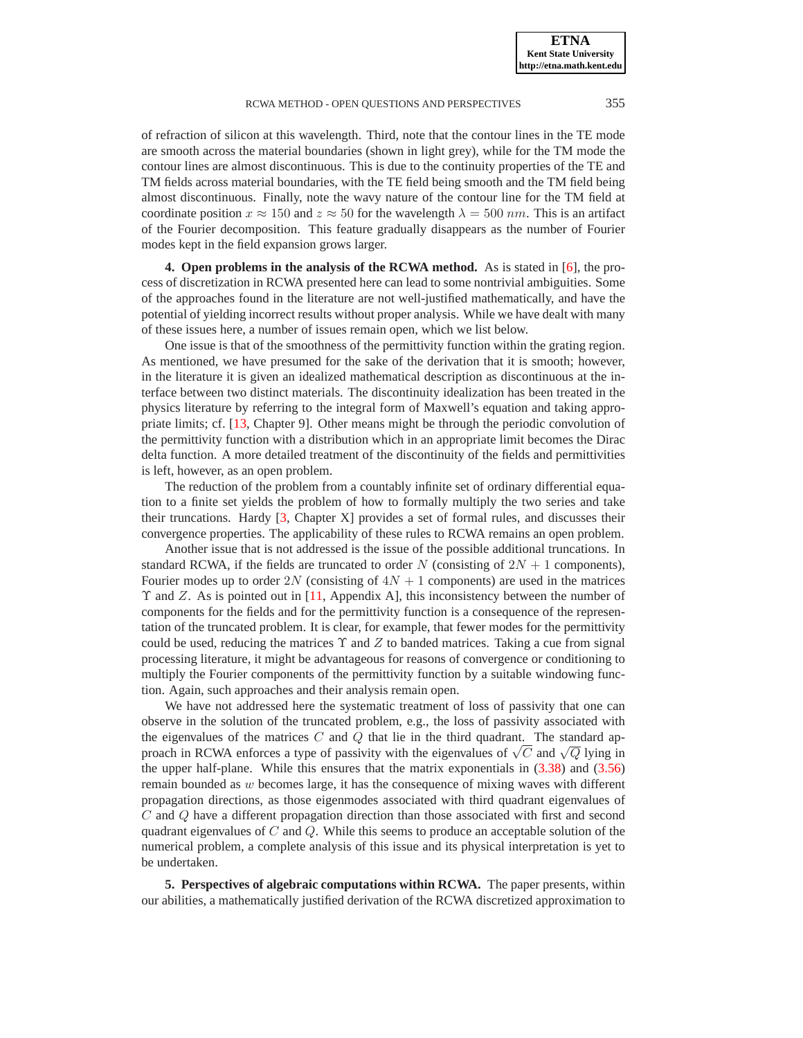of refraction of silicon at this wavelength. Third, note that the contour lines in the TE mode are smooth across the material boundaries (shown in light grey), while for the TM mode the contour lines are almost discontinuous. This is due to the continuity properties of the TE and TM fields across material boundaries, with the TE field being smooth and the TM field being almost discontinuous. Finally, note the wavy nature of the contour line for the TM field at coordinate position  $x \approx 150$  and  $z \approx 50$  for the wavelength  $\lambda = 500$  nm. This is an artifact of the Fourier decomposition. This feature gradually disappears as the number of Fourier modes kept in the field expansion grows larger.

<span id="page-24-0"></span>**4. Open problems in the analysis of the RCWA method.** As is stated in [\[6\]](#page-26-2), the process of discretization in RCWA presented here can lead to some nontrivial ambiguities. Some of the approaches found in the literature are not well-justified mathematically, and have the potential of yielding incorrect results without proper analysis. While we have dealt with many of these issues here, a number of issues remain open, which we list below.

One issue is that of the smoothness of the permittivity function within the grating region. As mentioned, we have presumed for the sake of the derivation that it is smooth; however, in the literature it is given an idealized mathematical description as discontinuous at the interface between two distinct materials. The discontinuity idealization has been treated in the physics literature by referring to the integral form of Maxwell's equation and taking appropriate limits; cf. [\[13,](#page-26-5) Chapter 9]. Other means might be through the periodic convolution of the permittivity function with a distribution which in an appropriate limit becomes the Dirac delta function. A more detailed treatment of the discontinuity of the fields and permittivities is left, however, as an open problem.

The reduction of the problem from a countably infinite set of ordinary differential equation to a finite set yields the problem of how to formally multiply the two series and take their truncations. Hardy [\[3,](#page-26-8) Chapter X] provides a set of formal rules, and discusses their convergence properties. The applicability of these rules to RCWA remains an open problem.

Another issue that is not addressed is the issue of the possible additional truncations. In standard RCWA, if the fields are truncated to order N (consisting of  $2N + 1$  components), Fourier modes up to order 2N (consisting of  $4N + 1$  components) are used in the matrices  $\Upsilon$  and Z. As is pointed out in [\[11,](#page-26-9) Appendix A], this inconsistency between the number of components for the fields and for the permittivity function is a consequence of the representation of the truncated problem. It is clear, for example, that fewer modes for the permittivity could be used, reducing the matrices  $\Upsilon$  and  $Z$  to banded matrices. Taking a cue from signal processing literature, it might be advantageous for reasons of convergence or conditioning to multiply the Fourier components of the permittivity function by a suitable windowing function. Again, such approaches and their analysis remain open.

We have not addressed here the systematic treatment of loss of passivity that one can observe in the solution of the truncated problem, e.g., the loss of passivity associated with the eigenvalues of the matrices  $C$  and  $Q$  that lie in the third quadrant. The standard approach in RCWA enforces a type of passivity with the eigenvalues of  $\sqrt{C}$  and  $\sqrt{Q}$  lying in the upper half-plane. While this ensures that the matrix exponentials in [\(3.38\)](#page-13-1) and [\(3.56\)](#page-20-1) remain bounded as w becomes large, it has the consequence of mixing waves with different propagation directions, as those eigenmodes associated with third quadrant eigenvalues of C and Q have a different propagation direction than those associated with first and second quadrant eigenvalues of  $C$  and  $Q$ . While this seems to produce an acceptable solution of the numerical problem, a complete analysis of this issue and its physical interpretation is yet to be undertaken.

**5. Perspectives of algebraic computations within RCWA.** The paper presents, within our abilities, a mathematically justified derivation of the RCWA discretized approximation to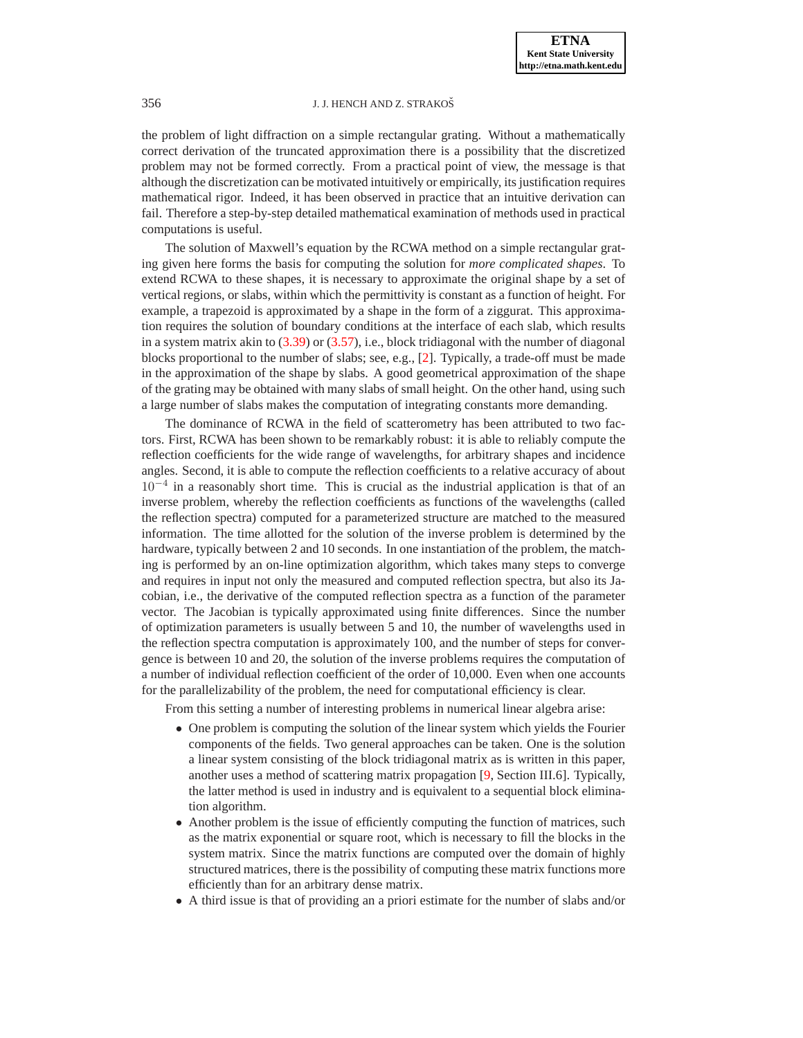the problem of light diffraction on a simple rectangular grating. Without a mathematically correct derivation of the truncated approximation there is a possibility that the discretized problem may not be formed correctly. From a practical point of view, the message is that although the discretization can be motivated intuitively or empirically, its justification requires mathematical rigor. Indeed, it has been observed in practice that an intuitive derivation can fail. Therefore a step-by-step detailed mathematical examination of methods used in practical computations is useful.

The solution of Maxwell's equation by the RCWA method on a simple rectangular grating given here forms the basis for computing the solution for *more complicated shapes*. To extend RCWA to these shapes, it is necessary to approximate the original shape by a set of vertical regions, or slabs, within which the permittivity is constant as a function of height. For example, a trapezoid is approximated by a shape in the form of a ziggurat. This approximation requires the solution of boundary conditions at the interface of each slab, which results in a system matrix akin to  $(3.39)$  or  $(3.57)$ , i.e., block tridiagonal with the number of diagonal blocks proportional to the number of slabs; see, e.g., [\[2\]](#page-26-1). Typically, a trade-off must be made in the approximation of the shape by slabs. A good geometrical approximation of the shape of the grating may be obtained with many slabs of small height. On the other hand, using such a large number of slabs makes the computation of integrating constants more demanding.

The dominance of RCWA in the field of scatterometry has been attributed to two factors. First, RCWA has been shown to be remarkably robust: it is able to reliably compute the reflection coefficients for the wide range of wavelengths, for arbitrary shapes and incidence angles. Second, it is able to compute the reflection coefficients to a relative accuracy of about 10−<sup>4</sup> in a reasonably short time. This is crucial as the industrial application is that of an inverse problem, whereby the reflection coefficients as functions of the wavelengths (called the reflection spectra) computed for a parameterized structure are matched to the measured information. The time allotted for the solution of the inverse problem is determined by the hardware, typically between 2 and 10 seconds. In one instantiation of the problem, the matching is performed by an on-line optimization algorithm, which takes many steps to converge and requires in input not only the measured and computed reflection spectra, but also its Jacobian, i.e., the derivative of the computed reflection spectra as a function of the parameter vector. The Jacobian is typically approximated using finite differences. Since the number of optimization parameters is usually between 5 and 10, the number of wavelengths used in the reflection spectra computation is approximately 100, and the number of steps for convergence is between 10 and 20, the solution of the inverse problems requires the computation of a number of individual reflection coefficient of the order of 10,000. Even when one accounts for the parallelizability of the problem, the need for computational efficiency is clear.

From this setting a number of interesting problems in numerical linear algebra arise:

- One problem is computing the solution of the linear system which yields the Fourier components of the fields. Two general approaches can be taken. One is the solution a linear system consisting of the block tridiagonal matrix as is written in this paper, another uses a method of scattering matrix propagation [\[9,](#page-26-0) Section III.6]. Typically, the latter method is used in industry and is equivalent to a sequential block elimination algorithm.
- Another problem is the issue of efficiently computing the function of matrices, such as the matrix exponential or square root, which is necessary to fill the blocks in the system matrix. Since the matrix functions are computed over the domain of highly structured matrices, there is the possibility of computing these matrix functions more efficiently than for an arbitrary dense matrix.
- A third issue is that of providing an a priori estimate for the number of slabs and/or